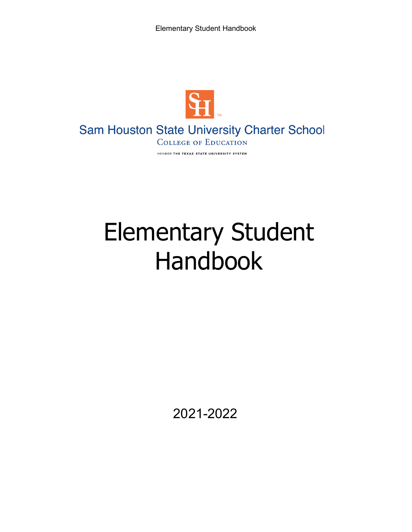Elementary Student Handbook



# Sam Houston State University Charter School

**COLLEGE OF EDUCATION** MEMBER THE TEXAS STATE UNIVERSITY SYSTEM

# Elementary Student Handbook

2021-2022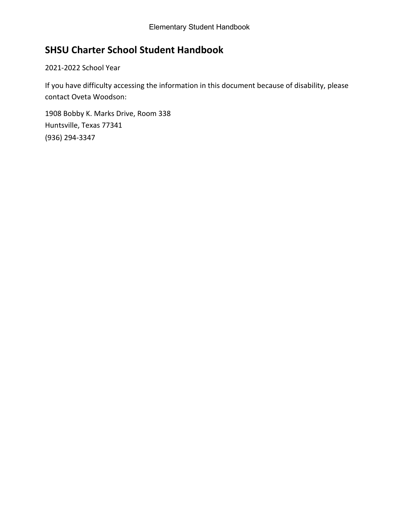# **SHSU Charter School Student Handbook**

2021-2022 School Year

If you have difficulty accessing the information in this document because of disability, please contact Oveta Woodson:

1908 Bobby K. Marks Drive, Room 338 Huntsville, Texas 77341 (936) 294-3347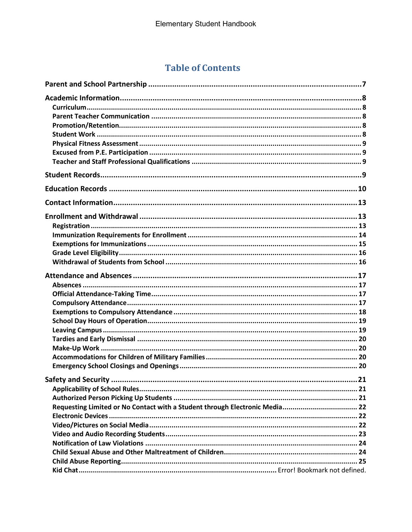# **Table of Contents**

| Requesting Limited or No Contact with a Student through Electronic Media 22 |  |
|-----------------------------------------------------------------------------|--|
|                                                                             |  |
|                                                                             |  |
|                                                                             |  |
|                                                                             |  |
|                                                                             |  |
|                                                                             |  |
|                                                                             |  |
|                                                                             |  |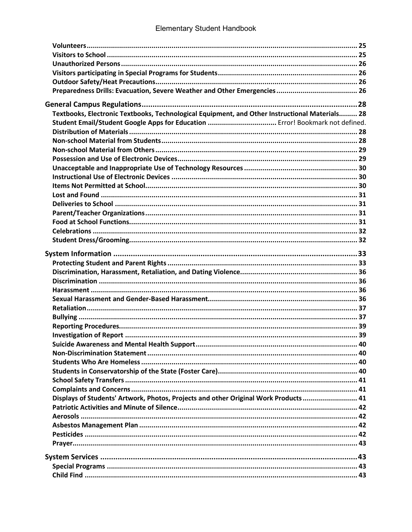| Textbooks, Electronic Textbooks, Technological Equipment, and Other Instructional Materials 28 |  |
|------------------------------------------------------------------------------------------------|--|
| Student Email/Student Google Apps for Education  Error! Bookmark not defined.                  |  |
|                                                                                                |  |
|                                                                                                |  |
|                                                                                                |  |
|                                                                                                |  |
|                                                                                                |  |
|                                                                                                |  |
|                                                                                                |  |
|                                                                                                |  |
|                                                                                                |  |
|                                                                                                |  |
|                                                                                                |  |
|                                                                                                |  |
|                                                                                                |  |
|                                                                                                |  |
|                                                                                                |  |
|                                                                                                |  |
|                                                                                                |  |
|                                                                                                |  |
|                                                                                                |  |
|                                                                                                |  |
|                                                                                                |  |
|                                                                                                |  |
|                                                                                                |  |
|                                                                                                |  |
|                                                                                                |  |
|                                                                                                |  |
|                                                                                                |  |
|                                                                                                |  |
|                                                                                                |  |
| Displays of Students' Artwork, Photos, Projects and other Original Work Products 41            |  |
|                                                                                                |  |
|                                                                                                |  |
|                                                                                                |  |
|                                                                                                |  |
|                                                                                                |  |
|                                                                                                |  |
|                                                                                                |  |
|                                                                                                |  |
|                                                                                                |  |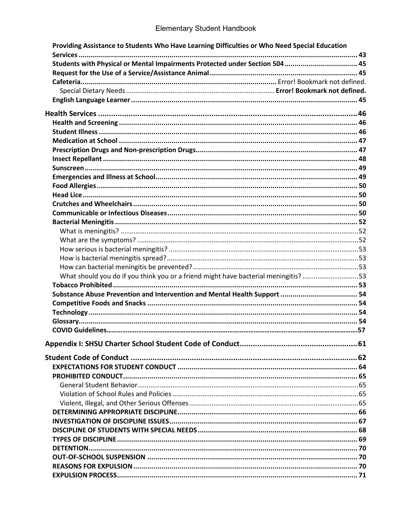| Providing Assistance to Students Who Have Learning Difficulties or Who Need Special Education |  |
|-----------------------------------------------------------------------------------------------|--|
|                                                                                               |  |
| Students with Physical or Mental Impairments Protected under Section 504 45                   |  |
|                                                                                               |  |
|                                                                                               |  |
|                                                                                               |  |
|                                                                                               |  |
|                                                                                               |  |
|                                                                                               |  |
|                                                                                               |  |
|                                                                                               |  |
|                                                                                               |  |
|                                                                                               |  |
|                                                                                               |  |
|                                                                                               |  |
|                                                                                               |  |
|                                                                                               |  |
|                                                                                               |  |
|                                                                                               |  |
|                                                                                               |  |
|                                                                                               |  |
|                                                                                               |  |
|                                                                                               |  |
|                                                                                               |  |
|                                                                                               |  |
| What should you do if you think you or a friend might have bacterial meningitis? 53           |  |
|                                                                                               |  |
|                                                                                               |  |
|                                                                                               |  |
|                                                                                               |  |
|                                                                                               |  |
|                                                                                               |  |
|                                                                                               |  |
|                                                                                               |  |
|                                                                                               |  |
|                                                                                               |  |
|                                                                                               |  |
|                                                                                               |  |
|                                                                                               |  |
|                                                                                               |  |
|                                                                                               |  |
|                                                                                               |  |
|                                                                                               |  |
|                                                                                               |  |
|                                                                                               |  |
|                                                                                               |  |
|                                                                                               |  |
|                                                                                               |  |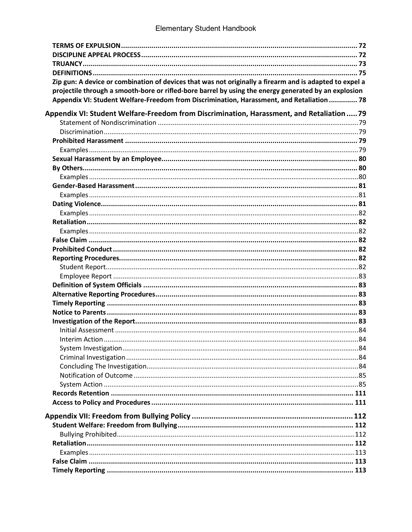# Elementary Student Handbook

| Zip gun: A device or combination of devices that was not originally a firearm and is adapted to expel a |  |
|---------------------------------------------------------------------------------------------------------|--|
| projectile through a smooth-bore or rifled-bore barrel by using the energy generated by an explosion    |  |
| Appendix VI: Student Welfare-Freedom from Discrimination, Harassment, and Retaliation  78               |  |
| Appendix VI: Student Welfare-Freedom from Discrimination, Harassment, and Retaliation  79               |  |
|                                                                                                         |  |
|                                                                                                         |  |
|                                                                                                         |  |
|                                                                                                         |  |
|                                                                                                         |  |
|                                                                                                         |  |
|                                                                                                         |  |
|                                                                                                         |  |
|                                                                                                         |  |
|                                                                                                         |  |
|                                                                                                         |  |
|                                                                                                         |  |
|                                                                                                         |  |
|                                                                                                         |  |
|                                                                                                         |  |
|                                                                                                         |  |
|                                                                                                         |  |
|                                                                                                         |  |
|                                                                                                         |  |
|                                                                                                         |  |
|                                                                                                         |  |
|                                                                                                         |  |
|                                                                                                         |  |
|                                                                                                         |  |
|                                                                                                         |  |
|                                                                                                         |  |
|                                                                                                         |  |
|                                                                                                         |  |
|                                                                                                         |  |
|                                                                                                         |  |
|                                                                                                         |  |
|                                                                                                         |  |
|                                                                                                         |  |
|                                                                                                         |  |
|                                                                                                         |  |
|                                                                                                         |  |
|                                                                                                         |  |
|                                                                                                         |  |
|                                                                                                         |  |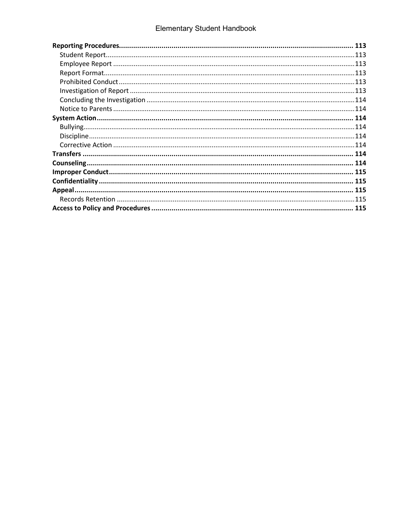# Elementary Student Handbook

| 113  |
|------|
|      |
|      |
|      |
| .113 |
| .113 |
| .114 |
| .114 |
| 114  |
| .114 |
|      |
|      |
| 114  |
|      |
|      |
| 115  |
|      |
|      |
| 115  |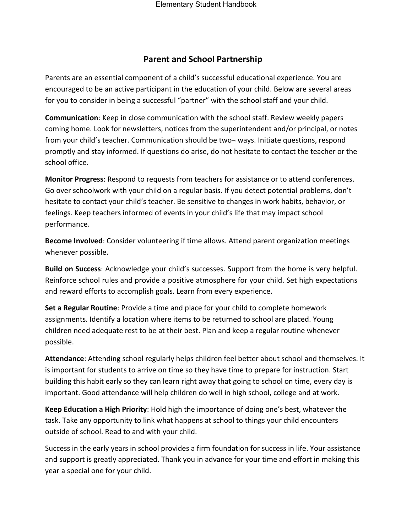#### **Parent and School Partnership**

<span id="page-7-0"></span>Parents are an essential component of a child's successful educational experience. You are encouraged to be an active participant in the education of your child. Below are several areas for you to consider in being a successful "partner" with the school staff and your child.

**Communication**: Keep in close communication with the school staff. Review weekly papers coming home. Look for newsletters, notices from the superintendent and/or principal, or notes from your child's teacher. Communication should be two- ways. Initiate questions, respond promptly and stay informed. If questions do arise, do not hesitate to contact the teacher or the school office.

**Monitor Progress**: Respond to requests from teachers for assistance or to attend conferences. Go over schoolwork with your child on a regular basis. If you detect potential problems, don't hesitate to contact your child's teacher. Be sensitive to changes in work habits, behavior, or feelings. Keep teachers informed of events in your child's life that may impact school performance.

**Become Involved**: Consider volunteering if time allows. Attend parent organization meetings whenever possible.

**Build on Success**: Acknowledge your child's successes. Support from the home is very helpful. Reinforce school rules and provide a positive atmosphere for your child. Set high expectations and reward efforts to accomplish goals. Learn from every experience.

**Set a Regular Routine**: Provide a time and place for your child to complete homework assignments. Identify a location where items to be returned to school are placed. Young children need adequate rest to be at their best. Plan and keep a regular routine whenever possible.

**Attendance**: Attending school regularly helps children feel better about school and themselves. It is important for students to arrive on time so they have time to prepare for instruction. Start building this habit early so they can learn right away that going to school on time, every day is important. Good attendance will help children do well in high school, college and at work.

**Keep Education a High Priority**: Hold high the importance of doing one's best, whatever the task. Take any opportunity to link what happens at school to things your child encounters outside of school. Read to and with your child.

Success in the early years in school provides a firm foundation for success in life. Your assistance and support is greatly appreciated. Thank you in advance for your time and effort in making this year a special one for your child.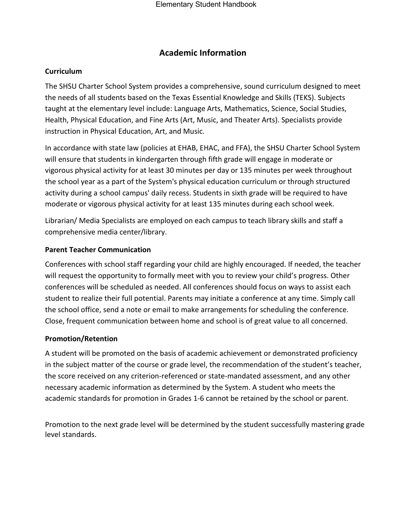### **Academic Information**

#### <span id="page-8-1"></span><span id="page-8-0"></span>**Curriculum**

The SHSU Charter School System provides a comprehensive, sound curriculum designed to meet the needs of all students based on the Texas Essential Knowledge and Skills (TEKS). Subjects taught at the elementary level include: Language Arts, Mathematics, Science, Social Studies, Health, Physical Education, and Fine Arts (Art, Music, and Theater Arts). Specialists provide instruction in Physical Education, Art, and Music.

In accordance with state law (policies at EHAB, EHAC, and FFA), the SHSU Charter School System will ensure that students in kindergarten through fifth grade will engage in moderate or vigorous physical activity for at least 30 minutes per day or 135 minutes per week throughout the school year as a part of the System's physical education curriculum or through structured activity during a school campus' daily recess. Students in sixth grade will be required to have moderate or vigorous physical activity for at least 135 minutes during each school week.

Librarian/ Media Specialists are employed on each campus to teach library skills and staff a comprehensive media center/library.

#### <span id="page-8-2"></span>**Parent Teacher Communication**

Conferences with school staff regarding your child are highly encouraged. If needed, the teacher will request the opportunity to formally meet with you to review your child's progress. Other conferences will be scheduled as needed. All conferences should focus on ways to assist each student to realize their full potential. Parents may initiate a conference at any time. Simply call the school office, send a note or email to make arrangements for scheduling the conference. Close, frequent communication between home and school is of great value to all concerned.

#### <span id="page-8-3"></span>**Promotion/Retention**

A student will be promoted on the basis of academic achievement or demonstrated proficiency in the subject matter of the course or grade level, the recommendation of the student's teacher, the score received on any criterion-referenced or state-mandated assessment, and any other necessary academic information as determined by the System. A student who meets the academic standards for promotion in Grades 1-6 cannot be retained by the school or parent.

<span id="page-8-4"></span>Promotion to the next grade level will be determined by the student successfully mastering grade level standards.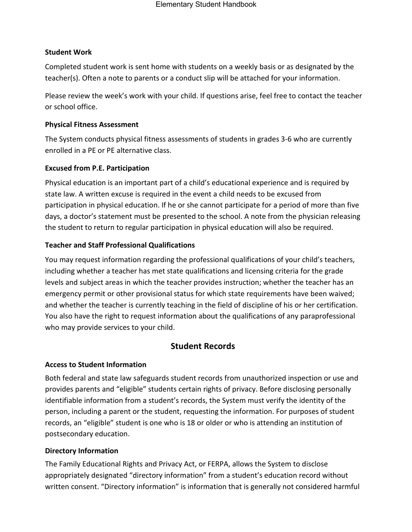#### **Student Work**

Completed student work is sent home with students on a weekly basis or as designated by the teacher(s). Often a note to parents or a conduct slip will be attached for your information.

Please review the week's work with your child. If questions arise, feel free to contact the teacher or school office.

#### <span id="page-9-0"></span>**Physical Fitness Assessment**

The System conducts physical fitness assessments of students in grades 3-6 who are currently enrolled in a PE or PE alternative class.

#### <span id="page-9-1"></span>**Excused from P.E. Participation**

Physical education is an important part of a child's educational experience and is required by state law. A written excuse is required in the event a child needs to be excused from participation in physical education. If he or she cannot participate for a period of more than five days, a doctor's statement must be presented to the school. A note from the physician releasing the student to return to regular participation in physical education will also be required.

#### <span id="page-9-2"></span>**Teacher and Staff Professional Qualifications**

You may request information regarding the professional qualifications of your child's teachers, including whether a teacher has met state qualifications and licensing criteria for the grade levels and subject areas in which the teacher provides instruction; whether the teacher has an emergency permit or other provisional status for which state requirements have been waived; and whether the teacher is currently teaching in the field of discipline of his or her certification. You also have the right to request information about the qualifications of any paraprofessional who may provide services to your child.

# **Student Records**

#### <span id="page-9-3"></span>**Access to Student Information**

Both federal and state law safeguards student records from unauthorized inspection or use and provides parents and "eligible" students certain rights of privacy. Before disclosing personally identifiable information from a student's records, the System must verify the identity of the person, including a parent or the student, requesting the information. For purposes of student records, an "eligible" student is one who is 18 or older or who is attending an institution of postsecondary education.

#### **Directory Information**

The Family Educational Rights and Privacy Act, or FERPA, allows the System to disclose appropriately designated "directory information" from a student's education record without written consent. "Directory information" is information that is generally not considered harmful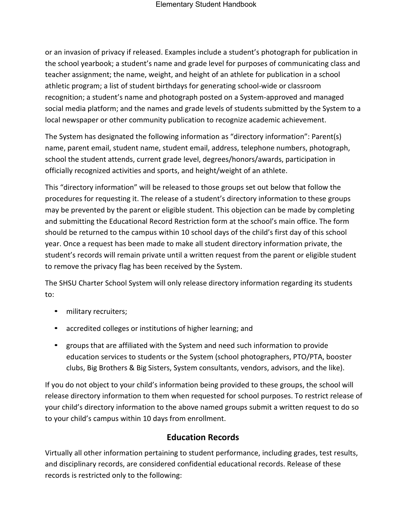or an invasion of privacy if released. Examples include a student's photograph for publication in the school yearbook; a student's name and grade level for purposes of communicating class and teacher assignment; the name, weight, and height of an athlete for publication in a school athletic program; a list of student birthdays for generating school-wide or classroom recognition; a student's name and photograph posted on a System-approved and managed social media platform; and the names and grade levels of students submitted by the System to a local newspaper or other community publication to recognize academic achievement.

The System has designated the following information as "directory information": Parent(s) name, parent email, student name, student email, address, telephone numbers, photograph, school the student attends, current grade level, degrees/honors/awards, participation in officially recognized activities and sports, and height/weight of an athlete.

This "directory information" will be released to those groups set out below that follow the procedures for requesting it. The release of a student's directory information to these groups may be prevented by the parent or eligible student. This objection can be made by completing and submitting the Educational Record Restriction form at the school's main office. The form should be returned to the campus within 10 school days of the child's first day of this school year. Once a request has been made to make all student directory information private, the student's records will remain private until a written request from the parent or eligible student to remove the privacy flag has been received by the System.

The SHSU Charter School System will only release directory information regarding its students to:

- military recruiters;
- accredited colleges or institutions of higher learning; and
- groups that are affiliated with the System and need such information to provide education services to students or the System (school photographers, PTO/PTA, booster clubs, Big Brothers & Big Sisters, System consultants, vendors, advisors, and the like).

If you do not object to your child's information being provided to these groups, the school will release directory information to them when requested for school purposes. To restrict release of your child's directory information to the above named groups submit a written request to do so to your child's campus within 10 days from enrollment.

#### **Education Records**

<span id="page-10-0"></span>Virtually all other information pertaining to student performance, including grades, test results, and disciplinary records, are considered confidential educational records. Release of these records is restricted only to the following: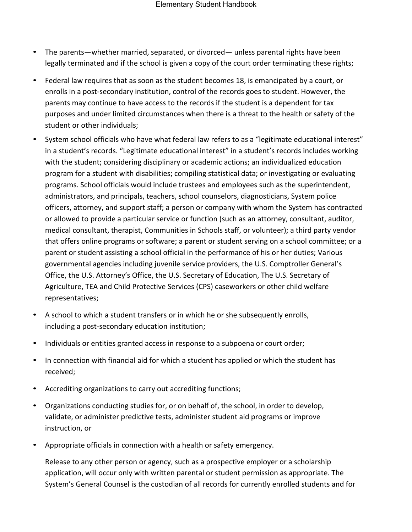- The parents—whether married, separated, or divorced— unless parental rights have been legally terminated and if the school is given a copy of the court order terminating these rights;
- Federal law requires that as soon as the student becomes 18, is emancipated by a court, or enrolls in a post-secondary institution, control of the records goes to student. However, the parents may continue to have access to the records if the student is a dependent for tax purposes and under limited circumstances when there is a threat to the health or safety of the student or other individuals;
- System school officials who have what federal law refers to as a "legitimate educational interest" in a student's records. "Legitimate educational interest" in a student's records includes working with the student; considering disciplinary or academic actions; an individualized education program for a student with disabilities; compiling statistical data; or investigating or evaluating programs. School officials would include trustees and employees such as the superintendent, administrators, and principals, teachers, school counselors, diagnosticians, System police officers, attorney, and support staff; a person or company with whom the System has contracted or allowed to provide a particular service or function (such as an attorney, consultant, auditor, medical consultant, therapist, Communities in Schools staff, or volunteer); a third party vendor that offers online programs or software; a parent or student serving on a school committee; or a parent or student assisting a school official in the performance of his or her duties; Various governmental agencies including juvenile service providers, the U.S. Comptroller General's Office, the U.S. Attorney's Office, the U.S. Secretary of Education, The U.S. Secretary of Agriculture, TEA and Child Protective Services (CPS) caseworkers or other child welfare representatives;
- A school to which a student transfers or in which he or she subsequently enrolls, including a post-secondary education institution;
- Individuals or entities granted access in response to a subpoena or court order;
- In connection with financial aid for which a student has applied or which the student has received;
- Accrediting organizations to carry out accrediting functions;
- Organizations conducting studies for, or on behalf of, the school, in order to develop, validate, or administer predictive tests, administer student aid programs or improve instruction, or
- Appropriate officials in connection with a health or safety emergency.

Release to any other person or agency, such as a prospective employer or a scholarship application, will occur only with written parental or student permission as appropriate. The System's General Counsel is the custodian of all records for currently enrolled students and for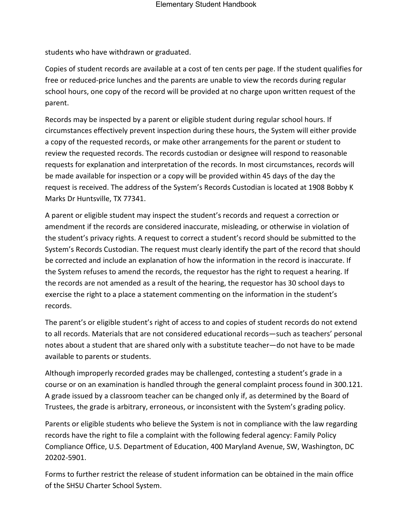students who have withdrawn or graduated.

Copies of student records are available at a cost of ten cents per page. If the student qualifies for free or reduced-price lunches and the parents are unable to view the records during regular school hours, one copy of the record will be provided at no charge upon written request of the parent.

Records may be inspected by a parent or eligible student during regular school hours. If circumstances effectively prevent inspection during these hours, the System will either provide a copy of the requested records, or make other arrangements for the parent or student to review the requested records. The records custodian or designee will respond to reasonable requests for explanation and interpretation of the records. In most circumstances, records will be made available for inspection or a copy will be provided within 45 days of the day the request is received. The address of the System's Records Custodian is located at 1908 Bobby K Marks Dr Huntsville, TX 77341.

A parent or eligible student may inspect the student's records and request a correction or amendment if the records are considered inaccurate, misleading, or otherwise in violation of the student's privacy rights. A request to correct a student's record should be submitted to the System's Records Custodian. The request must clearly identify the part of the record that should be corrected and include an explanation of how the information in the record is inaccurate. If the System refuses to amend the records, the requestor has the right to request a hearing. If the records are not amended as a result of the hearing, the requestor has 30 school days to exercise the right to a place a statement commenting on the information in the student's records.

The parent's or eligible student's right of access to and copies of student records do not extend to all records. Materials that are not considered educational records—such as teachers' personal notes about a student that are shared only with a substitute teacher—do not have to be made available to parents or students.

Although improperly recorded grades may be challenged, contesting a student's grade in a course or on an examination is handled through the general complaint process found in 300.121. A grade issued by a classroom teacher can be changed only if, as determined by the Board of Trustees, the grade is arbitrary, erroneous, or inconsistent with the System's grading policy.

Parents or eligible students who believe the System is not in compliance with the law regarding records have the right to file a complaint with the following federal agency: Family Policy Compliance Office, U.S. Department of Education, 400 Maryland Avenue, SW, Washington, DC 20202-5901.

Forms to further restrict the release of student information can be obtained in the main office of the SHSU Charter School System.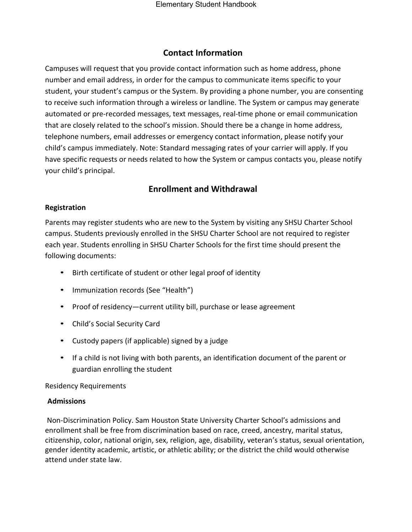#### **Contact Information**

<span id="page-13-0"></span>Campuses will request that you provide contact information such as home address, phone number and email address, in order for the campus to communicate items specific to your student, your student's campus or the System. By providing a phone number, you are consenting to receive such information through a wireless or landline. The System or campus may generate automated or pre-recorded messages, text messages, real-time phone or email communication that are closely related to the school's mission. Should there be a change in home address, telephone numbers, email addresses or emergency contact information, please notify your child's campus immediately. Note: Standard messaging rates of your carrier will apply. If you have specific requests or needs related to how the System or campus contacts you, please notify your child's principal.

#### **Enrollment and Withdrawal**

#### <span id="page-13-2"></span><span id="page-13-1"></span>**Registration**

Parents may register students who are new to the System by visiting any SHSU Charter School campus. Students previously enrolled in the SHSU Charter School are not required to register each year. Students enrolling in SHSU Charter Schools for the first time should present the following documents:

- Birth certificate of student or other legal proof of identity
- Immunization records (See "Health")
- Proof of residency—current utility bill, purchase or lease agreement
- Child's Social Security Card
- Custody papers (if applicable) signed by a judge
- If a child is not living with both parents, an identification document of the parent or guardian enrolling the student

#### Residency Requirements

#### **Admissions**

Non-Discrimination Policy. Sam Houston State University Charter School's admissions and enrollment shall be free from discrimination based on race, creed, ancestry, marital status, citizenship, color, national origin, sex, religion, age, disability, veteran's status, sexual orientation, gender identity academic, artistic, or athletic ability; or the district the child would otherwise attend under state law.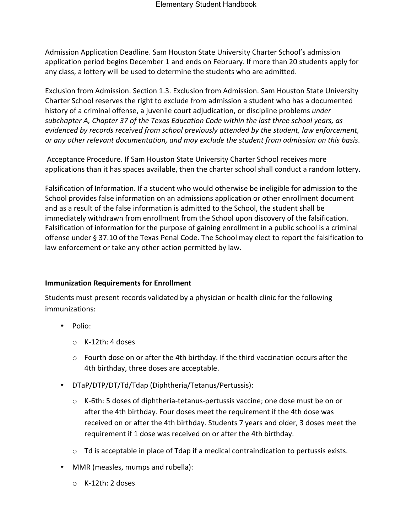Admission Application Deadline. Sam Houston State University Charter School's admission application period begins December 1 and ends on February. If more than 20 students apply for any class, a lottery will be used to determine the students who are admitted.

Exclusion from Admission. Section 1.3. Exclusion from Admission. Sam Houston State University Charter School reserves the right to exclude from admission a student who has a documented history of a criminal offense, a juvenile court adjudication, or discipline problems *under subchapter A, Chapter 37 of the Texas Education Code within the last three school years, as evidenced by records received from school previously attended by the student, law enforcement, or any other relevant documentation, and may exclude the student from admission on this basis*.

Acceptance Procedure. If Sam Houston State University Charter School receives more applications than it has spaces available, then the charter school shall conduct a random lottery.

Falsification of Information. If a student who would otherwise be ineligible for admission to the School provides false information on an admissions application or other enrollment document and as a result of the false information is admitted to the School, the student shall be immediately withdrawn from enrollment from the School upon discovery of the falsification. Falsification of information for the purpose of gaining enrollment in a public school is a criminal offense under § 37.10 of the Texas Penal Code. The School may elect to report the falsification to law enforcement or take any other action permitted by law.

#### <span id="page-14-0"></span>**Immunization Requirements for Enrollment**

Students must present records validated by a physician or health clinic for the following immunizations:

- Polio:
	- o K-12th: 4 doses
	- $\circ$  Fourth dose on or after the 4th birthday. If the third vaccination occurs after the 4th birthday, three doses are acceptable.
- DTaP/DTP/DT/Td/Tdap (Diphtheria/Tetanus/Pertussis):
	- o K-6th: 5 doses of diphtheria-tetanus-pertussis vaccine; one dose must be on or after the 4th birthday. Four doses meet the requirement if the 4th dose was received on or after the 4th birthday. Students 7 years and older, 3 doses meet the requirement if 1 dose was received on or after the 4th birthday.
	- o Td is acceptable in place of Tdap if a medical contraindication to pertussis exists.
- MMR (measles, mumps and rubella):
	- o K-12th: 2 doses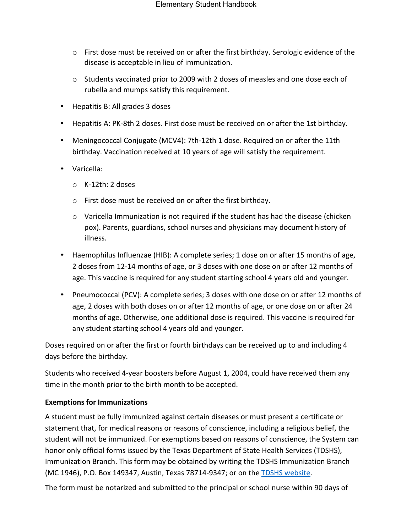- o First dose must be received on or after the first birthday. Serologic evidence of the disease is acceptable in lieu of immunization.
- $\circ$  Students vaccinated prior to 2009 with 2 doses of measles and one dose each of rubella and mumps satisfy this requirement.
- Hepatitis B: All grades 3 doses
- Hepatitis A: PK-8th 2 doses. First dose must be received on or after the 1st birthday.
- Meningococcal Conjugate (MCV4): 7th-12th 1 dose. Required on or after the 11th birthday. Vaccination received at 10 years of age will satisfy the requirement.
- Varicella:
	- o K-12th: 2 doses
	- o First dose must be received on or after the first birthday.
	- $\circ$  Varicella Immunization is not required if the student has had the disease (chicken pox). Parents, guardians, school nurses and physicians may document history of illness.
- Haemophilus Influenzae (HIB): A complete series; 1 dose on or after 15 months of age, 2 doses from 12-14 months of age, or 3 doses with one dose on or after 12 months of age. This vaccine is required for any student starting school 4 years old and younger.
- Pneumococcal (PCV): A complete series; 3 doses with one dose on or after 12 months of age, 2 doses with both doses on or after 12 months of age, or one dose on or after 24 months of age. Otherwise, one additional dose is required. This vaccine is required for any student starting school 4 years old and younger.

Doses required on or after the first or fourth birthdays can be received up to and including 4 days before the birthday.

Students who received 4-year boosters before August 1, 2004, could have received them any time in the month prior to the birth month to be accepted.

#### <span id="page-15-0"></span>**Exemptions for Immunizations**

A student must be fully immunized against certain diseases or must present a certificate or statement that, for medical reasons or reasons of conscience, including a religious belief, the student will not be immunized. For exemptions based on reasons of conscience, the System can honor only official forms issued by the Texas Department of State Health Services (TDSHS), Immunization Branch. This form may be obtained by writing the TDSHS Immunization Branch (MC 1946), P.O. Box 149347, Austin, Texas 78714-9347; or on the **TDSHS website**.

The form must be notarized and submitted to the principal or school nurse within 90 days of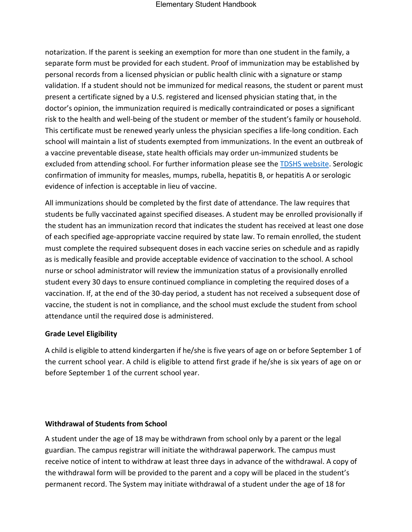notarization. If the parent is seeking an exemption for more than one student in the family, a separate form must be provided for each student. Proof of immunization may be established by personal records from a licensed physician or public health clinic with a signature or stamp validation. If a student should not be immunized for medical reasons, the student or parent must present a certificate signed by a U.S. registered and licensed physician stating that, in the doctor's opinion, the immunization required is medically contraindicated or poses a significant risk to the health and well-being of the student or member of the student's family or household. This certificate must be renewed yearly unless the physician specifies a life-long condition. Each school will maintain a list of students exempted from immunizations. In the event an outbreak of a vaccine preventable disease, state health officials may order un-immunized students be excluded from attending school. For further information please see the [TDSHS website.](http://www.dshs.state.tx.us/immunize/school/default.shtm) Serologic confirmation of immunity for measles, mumps, rubella, hepatitis B, or hepatitis A or serologic evidence of infection is acceptable in lieu of vaccine.

All immunizations should be completed by the first date of attendance. The law requires that students be fully vaccinated against specified diseases. A student may be enrolled provisionally if the student has an immunization record that indicates the student has received at least one dose of each specified age-appropriate vaccine required by state law. To remain enrolled, the student must complete the required subsequent doses in each vaccine series on schedule and as rapidly as is medically feasible and provide acceptable evidence of vaccination to the school. A school nurse or school administrator will review the immunization status of a provisionally enrolled student every 30 days to ensure continued compliance in completing the required doses of a vaccination. If, at the end of the 30-day period, a student has not received a subsequent dose of vaccine, the student is not in compliance, and the school must exclude the student from school attendance until the required dose is administered.

#### <span id="page-16-0"></span>**Grade Level Eligibility**

A child is eligible to attend kindergarten if he/she is five years of age on or before September 1 of the current school year. A child is eligible to attend first grade if he/she is six years of age on or before September 1 of the current school year.

#### <span id="page-16-1"></span>**Withdrawal of Students from School**

A student under the age of 18 may be withdrawn from school only by a parent or the legal guardian. The campus registrar will initiate the withdrawal paperwork. The campus must receive notice of intent to withdraw at least three days in advance of the withdrawal. A copy of the withdrawal form will be provided to the parent and a copy will be placed in the student's permanent record. The System may initiate withdrawal of a student under the age of 18 for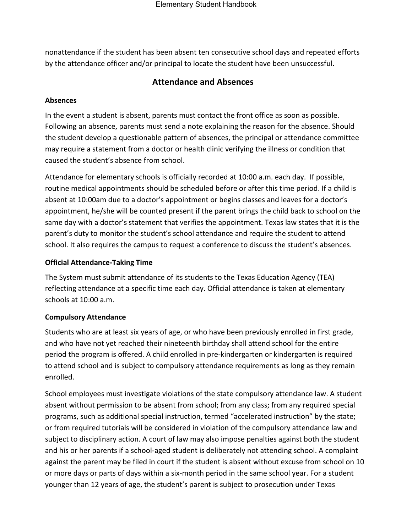<span id="page-17-0"></span>nonattendance if the student has been absent ten consecutive school days and repeated efforts by the attendance officer and/or principal to locate the student have been unsuccessful.

#### **Attendance and Absences**

#### <span id="page-17-1"></span>**Absences**

In the event a student is absent, parents must contact the front office as soon as possible. Following an absence, parents must send a note explaining the reason for the absence. Should the student develop a questionable pattern of absences, the principal or attendance committee may require a statement from a doctor or health clinic verifying the illness or condition that caused the student's absence from school.

Attendance for elementary schools is officially recorded at 10:00 a.m. each day. If possible, routine medical appointments should be scheduled before or after this time period. If a child is absent at 10:00am due to a doctor's appointment or begins classes and leaves for a doctor's appointment, he/she will be counted present if the parent brings the child back to school on the same day with a doctor's statement that verifies the appointment. Texas law states that it is the parent's duty to monitor the student's school attendance and require the student to attend school. It also requires the campus to request a conference to discuss the student's absences.

#### <span id="page-17-2"></span>**Official Attendance-Taking Time**

The System must submit attendance of its students to the Texas Education Agency (TEA) reflecting attendance at a specific time each day. Official attendance is taken at elementary schools at 10:00 a.m.

#### <span id="page-17-3"></span>**Compulsory Attendance**

Students who are at least six years of age, or who have been previously enrolled in first grade, and who have not yet reached their nineteenth birthday shall attend school for the entire period the program is offered. A child enrolled in pre-kindergarten or kindergarten is required to attend school and is subject to compulsory attendance requirements as long as they remain enrolled.

School employees must investigate violations of the state compulsory attendance law. A student absent without permission to be absent from school; from any class; from any required special programs, such as additional special instruction, termed "accelerated instruction" by the state; or from required tutorials will be considered in violation of the compulsory attendance law and subject to disciplinary action. A court of law may also impose penalties against both the student and his or her parents if a school-aged student is deliberately not attending school. A complaint against the parent may be filed in court if the student is absent without excuse from school on 10 or more days or parts of days within a six-month period in the same school year. For a student younger than 12 years of age, the student's parent is subject to prosecution under Texas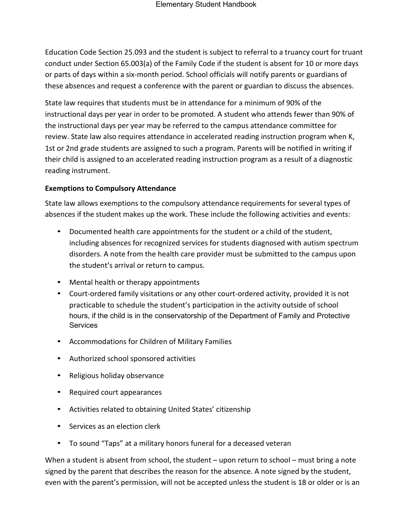Education Code Section 25.093 and the student is subject to referral to a truancy court for truant conduct under Section 65.003(a) of the Family Code if the student is absent for 10 or more days or parts of days within a six-month period. School officials will notify parents or guardians of these absences and request a conference with the parent or guardian to discuss the absences.

State law requires that students must be in attendance for a minimum of 90% of the instructional days per year in order to be promoted. A student who attends fewer than 90% of the instructional days per year may be referred to the campus attendance committee for review. State law also requires attendance in accelerated reading instruction program when K, 1st or 2nd grade students are assigned to such a program. Parents will be notified in writing if their child is assigned to an accelerated reading instruction program as a result of a diagnostic reading instrument.

#### <span id="page-18-0"></span>**Exemptions to Compulsory Attendance**

State law allows exemptions to the compulsory attendance requirements for several types of absences if the student makes up the work. These include the following activities and events:

- Documented health care appointments for the student or a child of the student, including absences for recognized services for students diagnosed with autism spectrum disorders. A note from the health care provider must be submitted to the campus upon the student's arrival or return to campus.
- Mental health or therapy appointments
- Court-ordered family visitations or any other court-ordered activity, provided it is not practicable to schedule the student's participation in the activity outside of school hours, if the child is in the conservatorship of the Department of Family and Protective **Services**
- Accommodations for Children of Military Families
- Authorized school sponsored activities
- Religious holiday observance
- Required court appearances
- Activities related to obtaining United States' citizenship
- Services as an election clerk
- To sound "Taps" at a military honors funeral for a deceased veteran

When a student is absent from school, the student – upon return to school – must bring a note signed by the parent that describes the reason for the absence. A note signed by the student, even with the parent's permission, will not be accepted unless the student is 18 or older or is an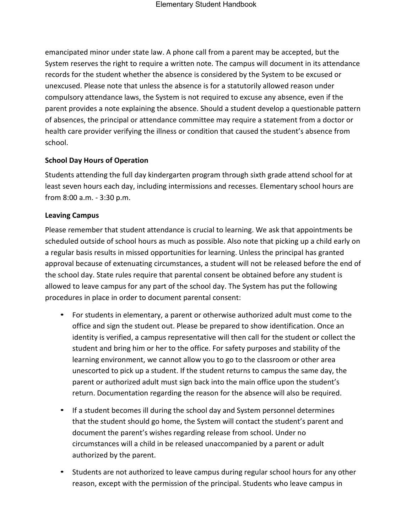emancipated minor under state law. A phone call from a parent may be accepted, but the System reserves the right to require a written note. The campus will document in its attendance records for the student whether the absence is considered by the System to be excused or unexcused. Please note that unless the absence is for a statutorily allowed reason under compulsory attendance laws, the System is not required to excuse any absence, even if the parent provides a note explaining the absence. Should a student develop a questionable pattern of absences, the principal or attendance committee may require a statement from a doctor or health care provider verifying the illness or condition that caused the student's absence from school.

#### <span id="page-19-0"></span>**School Day Hours of Operation**

Students attending the full day kindergarten program through sixth grade attend school for at least seven hours each day, including intermissions and recesses. Elementary school hours are from 8:00 a.m. - 3:30 p.m.

#### <span id="page-19-1"></span>**Leaving Campus**

Please remember that student attendance is crucial to learning. We ask that appointments be scheduled outside of school hours as much as possible. Also note that picking up a child early on a regular basis results in missed opportunities for learning. Unless the principal has granted approval because of extenuating circumstances, a student will not be released before the end of the school day. State rules require that parental consent be obtained before any student is allowed to leave campus for any part of the school day. The System has put the following procedures in place in order to document parental consent:

- For students in elementary, a parent or otherwise authorized adult must come to the office and sign the student out. Please be prepared to show identification. Once an identity is verified, a campus representative will then call for the student or collect the student and bring him or her to the office. For safety purposes and stability of the learning environment, we cannot allow you to go to the classroom or other area unescorted to pick up a student. If the student returns to campus the same day, the parent or authorized adult must sign back into the main office upon the student's return. Documentation regarding the reason for the absence will also be required.
- If a student becomes ill during the school day and System personnel determines that the student should go home, the System will contact the student's parent and document the parent's wishes regarding release from school. Under no circumstances will a child in be released unaccompanied by a parent or adult authorized by the parent.
- Students are not authorized to leave campus during regular school hours for any other reason, except with the permission of the principal. Students who leave campus in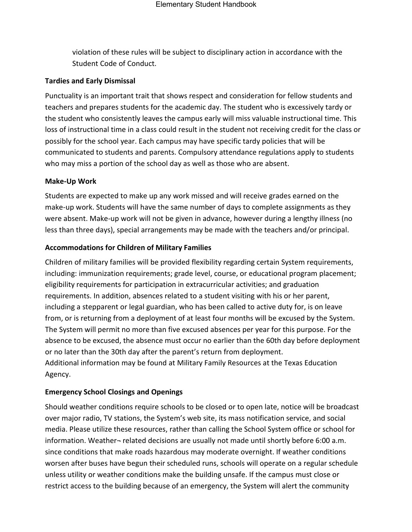violation of these rules will be subject to disciplinary action in accordance with the Student Code of Conduct.

#### <span id="page-20-0"></span>**Tardies and Early Dismissal**

Punctuality is an important trait that shows respect and consideration for fellow students and teachers and prepares students for the academic day. The student who is excessively tardy or the student who consistently leaves the campus early will miss valuable instructional time. This loss of instructional time in a class could result in the student not receiving credit for the class or possibly for the school year. Each campus may have specific tardy policies that will be communicated to students and parents. Compulsory attendance regulations apply to students who may miss a portion of the school day as well as those who are absent.

#### <span id="page-20-1"></span>**Make-Up Work**

Students are expected to make up any work missed and will receive grades earned on the make-up work. Students will have the same number of days to complete assignments as they were absent. Make-up work will not be given in advance, however during a lengthy illness (no less than three days), special arrangements may be made with the teachers and/or principal.

#### <span id="page-20-2"></span>**Accommodations for Children of Military Families**

Children of military families will be provided flexibility regarding certain System requirements, including: immunization requirements; grade level, course, or educational program placement; eligibility requirements for participation in extracurricular activities; and graduation requirements. In addition, absences related to a student visiting with his or her parent, including a stepparent or legal guardian, who has been called to active duty for, is on leave from, or is returning from a deployment of at least four months will be excused by the System. The System will permit no more than five excused absences per year for this purpose. For the absence to be excused, the absence must occur no earlier than the 60th day before deployment or no later than the 30th day after the parent's return from deployment. Additional information may be found at Military Family Resources at the Texas Education Agency.

#### <span id="page-20-3"></span>**Emergency School Closings and Openings**

Should weather conditions require schools to be closed or to open late, notice will be broadcast over major radio, TV stations, the System's web site, its mass notification service, and social media. Please utilize these resources, rather than calling the School System office or school for information. Weather- related decisions are usually not made until shortly before 6:00 a.m. since conditions that make roads hazardous may moderate overnight. If weather conditions worsen after buses have begun their scheduled runs, schools will operate on a regular schedule unless utility or weather conditions make the building unsafe. If the campus must close or restrict access to the building because of an emergency, the System will alert the community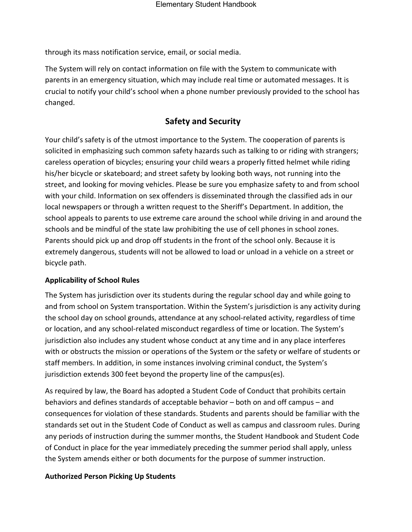through its mass notification service, email, or social media.

The System will rely on contact information on file with the System to communicate with parents in an emergency situation, which may include real time or automated messages. It is crucial to notify your child's school when a phone number previously provided to the school has changed.

# **Safety and Security**

<span id="page-21-0"></span>Your child's safety is of the utmost importance to the System. The cooperation of parents is solicited in emphasizing such common safety hazards such as talking to or riding with strangers; careless operation of bicycles; ensuring your child wears a properly fitted helmet while riding his/her bicycle or skateboard; and street safety by looking both ways, not running into the street, and looking for moving vehicles. Please be sure you emphasize safety to and from school with your child. Information on sex offenders is disseminated through the classified ads in our local newspapers or through a written request to the Sheriff's Department. In addition, the school appeals to parents to use extreme care around the school while driving in and around the schools and be mindful of the state law prohibiting the use of cell phones in school zones. Parents should pick up and drop off students in the front of the school only. Because it is extremely dangerous, students will not be allowed to load or unload in a vehicle on a street or bicycle path.

#### <span id="page-21-1"></span>**Applicability of School Rules**

The System has jurisdiction over its students during the regular school day and while going to and from school on System transportation. Within the System's jurisdiction is any activity during the school day on school grounds, attendance at any school-related activity, regardless of time or location, and any school-related misconduct regardless of time or location. The System's jurisdiction also includes any student whose conduct at any time and in any place interferes with or obstructs the mission or operations of the System or the safety or welfare of students or staff members. In addition, in some instances involving criminal conduct, the System's jurisdiction extends 300 feet beyond the property line of the campus(es).

As required by law, the Board has adopted a Student Code of Conduct that prohibits certain behaviors and defines standards of acceptable behavior – both on and off campus – and consequences for violation of these standards. Students and parents should be familiar with the standards set out in the Student Code of Conduct as well as campus and classroom rules. During any periods of instruction during the summer months, the Student Handbook and Student Code of Conduct in place for the year immediately preceding the summer period shall apply, unless the System amends either or both documents for the purpose of summer instruction.

#### <span id="page-21-2"></span>**Authorized Person Picking Up Students**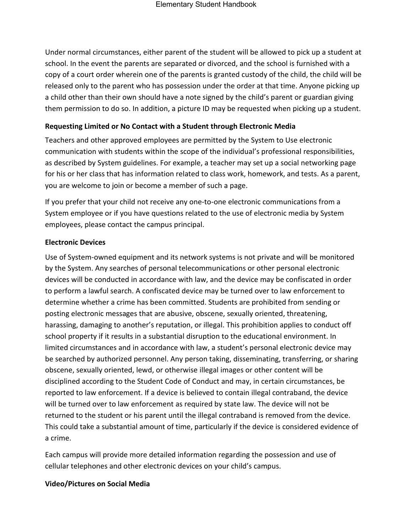Under normal circumstances, either parent of the student will be allowed to pick up a student at school. In the event the parents are separated or divorced, and the school is furnished with a copy of a court order wherein one of the parents is granted custody of the child, the child will be released only to the parent who has possession under the order at that time. Anyone picking up a child other than their own should have a note signed by the child's parent or guardian giving them permission to do so. In addition, a picture ID may be requested when picking up a student.

#### <span id="page-22-0"></span>**Requesting Limited or No Contact with a Student through Electronic Media**

Teachers and other approved employees are permitted by the System to Use electronic communication with students within the scope of the individual's professional responsibilities, as described by System guidelines. For example, a teacher may set up a social networking page for his or her class that has information related to class work, homework, and tests. As a parent, you are welcome to join or become a member of such a page.

If you prefer that your child not receive any one-to-one electronic communications from a System employee or if you have questions related to the use of electronic media by System employees, please contact the campus principal.

#### <span id="page-22-1"></span>**Electronic Devices**

Use of System-owned equipment and its network systems is not private and will be monitored by the System. Any searches of personal telecommunications or other personal electronic devices will be conducted in accordance with law, and the device may be confiscated in order to perform a lawful search. A confiscated device may be turned over to law enforcement to determine whether a crime has been committed. Students are prohibited from sending or posting electronic messages that are abusive, obscene, sexually oriented, threatening, harassing, damaging to another's reputation, or illegal. This prohibition applies to conduct off school property if it results in a substantial disruption to the educational environment. In limited circumstances and in accordance with law, a student's personal electronic device may be searched by authorized personnel. Any person taking, disseminating, transferring, or sharing obscene, sexually oriented, lewd, or otherwise illegal images or other content will be disciplined according to the Student Code of Conduct and may, in certain circumstances, be reported to law enforcement. If a device is believed to contain illegal contraband, the device will be turned over to law enforcement as required by state law. The device will not be returned to the student or his parent until the illegal contraband is removed from the device. This could take a substantial amount of time, particularly if the device is considered evidence of a crime.

Each campus will provide more detailed information regarding the possession and use of cellular telephones and other electronic devices on your child's campus.

#### <span id="page-22-2"></span>**Video/Pictures on Social Media**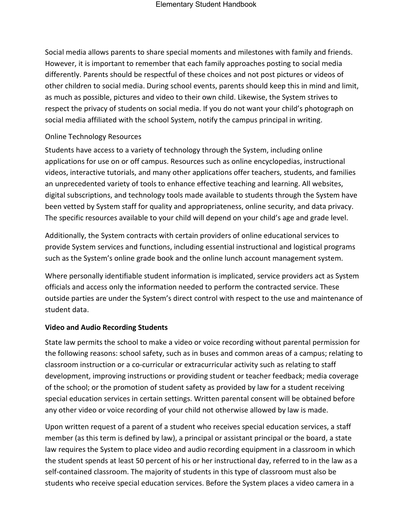Social media allows parents to share special moments and milestones with family and friends. However, it is important to remember that each family approaches posting to social media differently. Parents should be respectful of these choices and not post pictures or videos of other children to social media. During school events, parents should keep this in mind and limit, as much as possible, pictures and video to their own child. Likewise, the System strives to respect the privacy of students on social media. If you do not want your child's photograph on social media affiliated with the school System, notify the campus principal in writing.

#### Online Technology Resources

Students have access to a variety of technology through the System, including online applications for use on or off campus. Resources such as online encyclopedias, instructional videos, interactive tutorials, and many other applications offer teachers, students, and families an unprecedented variety of tools to enhance effective teaching and learning. All websites, digital subscriptions, and technology tools made available to students through the System have been vetted by System staff for quality and appropriateness, online security, and data privacy. The specific resources available to your child will depend on your child's age and grade level.

Additionally, the System contracts with certain providers of online educational services to provide System services and functions, including essential instructional and logistical programs such as the System's online grade book and the online lunch account management system.

Where personally identifiable student information is implicated, service providers act as System officials and access only the information needed to perform the contracted service. These outside parties are under the System's direct control with respect to the use and maintenance of student data.

#### <span id="page-23-0"></span>**Video and Audio Recording Students**

State law permits the school to make a video or voice recording without parental permission for the following reasons: school safety, such as in buses and common areas of a campus; relating to classroom instruction or a co-curricular or extracurricular activity such as relating to staff development, improving instructions or providing student or teacher feedback; media coverage of the school; or the promotion of student safety as provided by law for a student receiving special education services in certain settings. Written parental consent will be obtained before any other video or voice recording of your child not otherwise allowed by law is made.

Upon written request of a parent of a student who receives special education services, a staff member (as this term is defined by law), a principal or assistant principal or the board, a state law requires the System to place video and audio recording equipment in a classroom in which the student spends at least 50 percent of his or her instructional day, referred to in the law as a self-contained classroom. The majority of students in this type of classroom must also be students who receive special education services. Before the System places a video camera in a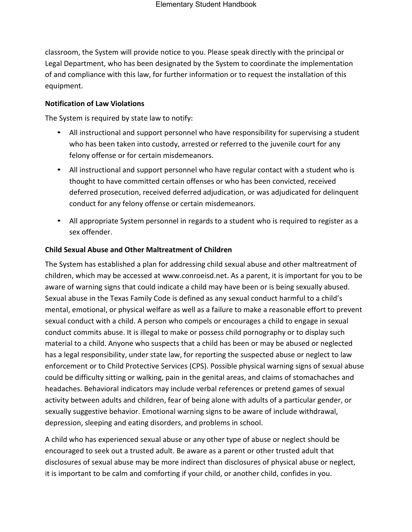classroom, the System will provide notice to you. Please speak directly with the principal or Legal Department, who has been designated by the System to coordinate the implementation of and compliance with this law, for further information or to request the installation of this equipment.

#### <span id="page-24-0"></span>**Notification of Law Violations**

The System is required by state law to notify:

- All instructional and support personnel who have responsibility for supervising a student who has been taken into custody, arrested or referred to the juvenile court for any felony offense or for certain misdemeanors.
- All instructional and support personnel who have regular contact with a student who is thought to have committed certain offenses or who has been convicted, received deferred prosecution, received deferred adjudication, or was adjudicated for delinquent conduct for any felony offense or certain misdemeanors.
- All appropriate System personnel in regards to a student who is required to register as a sex offender.

#### <span id="page-24-1"></span>**Child Sexual Abuse and Other Maltreatment of Children**

The System has established a plan for addressing child sexual abuse and other maltreatment of children, which may be accessed at [www.conroeisd.net.](http://www.conroeisd.net/) As a parent, it is important for you to be aware of warning signs that could indicate a child may have been or is being sexually abused. Sexual abuse in the Texas Family Code is defined as any sexual conduct harmful to a child's mental, emotional, or physical welfare as well as a failure to make a reasonable effort to prevent sexual conduct with a child. A person who compels or encourages a child to engage in sexual conduct commits abuse. It is illegal to make or possess child pornography or to display such material to a child. Anyone who suspects that a child has been or may be abused or neglected has a legal responsibility, under state law, for reporting the suspected abuse or neglect to law enforcement or to Child Protective Services (CPS). Possible physical warning signs of sexual abuse could be difficulty sitting or walking, pain in the genital areas, and claims of stomachaches and headaches. Behavioral indicators may include verbal references or pretend games of sexual activity between adults and children, fear of being alone with adults of a particular gender, or sexually suggestive behavior. Emotional warning signs to be aware of include withdrawal, depression, sleeping and eating disorders, and problems in school.

A child who has experienced sexual abuse or any other type of abuse or neglect should be encouraged to seek out a trusted adult. Be aware as a parent or other trusted adult that disclosures of sexual abuse may be more indirect than disclosures of physical abuse or neglect, it is important to be calm and comforting if your child, or another child, confides in you.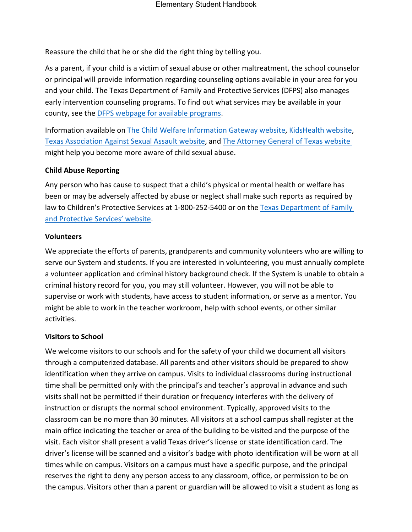Reassure the child that he or she did the right thing by telling you.

As a parent, if your child is a victim of sexual abuse or other maltreatment, the school counselor or principal will provide information regarding counseling options available in your area for you and your child. The Texas Department of Family and Protective Services (DFPS) also manages early intervention counseling programs. To find out what services may be available in your county, see the [DFPS webpage for available programs.](http://www.dfps.state.tx.us/Prevention_and_Early_Intervention/Programs_Available_In_Your_County/default.asp)

Information available on [The Child Welfare Information Gateway website,](http://www.childwelfare.gov/pubs/factsheets/whatiscan.pdf) [KidsHealth website,](http://www.kidshealth.org/en/parents/child-abuse.html) [Texas Association Against Sexual Assault website,](http://taasa.org/resources/) and [The Attorney General of Texas website](https://www.texasattorneygeneral.gov/cvs/what-we-can-do-about-child-abuse-1) might help you become more aware of child sexual abuse.

#### <span id="page-25-0"></span>**Child Abuse Reporting**

Any person who has cause to suspect that a child's physical or mental health or welfare has been or may be adversely affected by abuse or neglect shall make such reports as required by law to Children's Protective Services at 1-800-252-5400 or on the [Texas Department of Family](http://www.txabusehotline.org/) [and Protective Services' website.](http://www.txabusehotline.org/)

#### <span id="page-25-1"></span>**Volunteers**

We appreciate the efforts of parents, grandparents and community volunteers who are willing to serve our System and students. If you are interested in volunteering, you must annually complete a volunteer application and criminal history background check. If the System is unable to obtain a criminal history record for you, you may still volunteer. However, you will not be able to supervise or work with students, have access to student information, or serve as a mentor. You might be able to work in the teacher workroom, help with school events, or other similar activities.

#### <span id="page-25-2"></span>**Visitors to School**

We welcome visitors to our schools and for the safety of your child we document all visitors through a computerized database. All parents and other visitors should be prepared to show identification when they arrive on campus. Visits to individual classrooms during instructional time shall be permitted only with the principal's and teacher's approval in advance and such visits shall not be permitted if their duration or frequency interferes with the delivery of instruction or disrupts the normal school environment. Typically, approved visits to the classroom can be no more than 30 minutes. All visitors at a school campus shall register at the main office indicating the teacher or area of the building to be visited and the purpose of the visit. Each visitor shall present a valid Texas driver's license or state identification card. The driver's license will be scanned and a visitor's badge with photo identification will be worn at all times while on campus. Visitors on a campus must have a specific purpose, and the principal reserves the right to deny any person access to any classroom, office, or permission to be on the campus. Visitors other than a parent or guardian will be allowed to visit a student as long as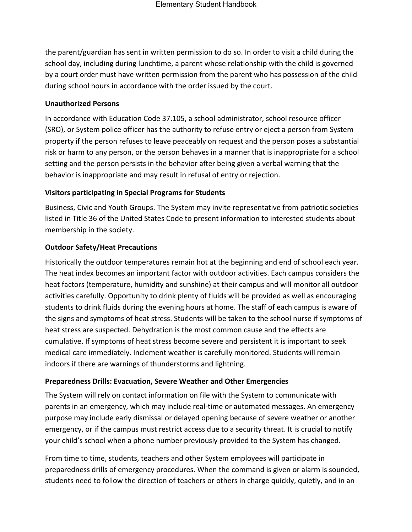the parent/guardian has sent in written permission to do so. In order to visit a child during the school day, including during lunchtime, a parent whose relationship with the child is governed by a court order must have written permission from the parent who has possession of the child during school hours in accordance with the order issued by the court.

#### <span id="page-26-0"></span>**Unauthorized Persons**

In accordance with Education Code 37.105, a school administrator, school resource officer (SRO), or System police officer has the authority to refuse entry or eject a person from System property if the person refuses to leave peaceably on request and the person poses a substantial risk or harm to any person, or the person behaves in a manner that is inappropriate for a school setting and the person persists in the behavior after being given a verbal warning that the behavior is inappropriate and may result in refusal of entry or rejection.

#### <span id="page-26-1"></span>**Visitors participating in Special Programs for Students**

Business, Civic and Youth Groups. The System may invite representative from patriotic societies listed in Title 36 of the United States Code to present information to interested students about membership in the society.

#### <span id="page-26-2"></span>**Outdoor Safety/Heat Precautions**

Historically the outdoor temperatures remain hot at the beginning and end of school each year. The heat index becomes an important factor with outdoor activities. Each campus considers the heat factors (temperature, humidity and sunshine) at their campus and will monitor all outdoor activities carefully. Opportunity to drink plenty of fluids will be provided as well as encouraging students to drink fluids during the evening hours at home. The staff of each campus is aware of the signs and symptoms of heat stress. Students will be taken to the school nurse if symptoms of heat stress are suspected. Dehydration is the most common cause and the effects are cumulative. If symptoms of heat stress become severe and persistent it is important to seek medical care immediately. Inclement weather is carefully monitored. Students will remain indoors if there are warnings of thunderstorms and lightning.

#### <span id="page-26-3"></span>**Preparedness Drills: Evacuation, Severe Weather and Other Emergencies**

The System will rely on contact information on file with the System to communicate with parents in an emergency, which may include real-time or automated messages. An emergency purpose may include early dismissal or delayed opening because of severe weather or another emergency, or if the campus must restrict access due to a security threat. It is crucial to notify your child's school when a phone number previously provided to the System has changed.

From time to time, students, teachers and other System employees will participate in preparedness drills of emergency procedures. When the command is given or alarm is sounded, students need to follow the direction of teachers or others in charge quickly, quietly, and in an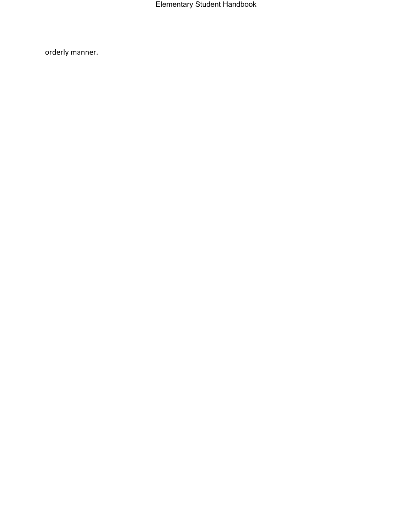Elementary Student Handbook

orderly manner.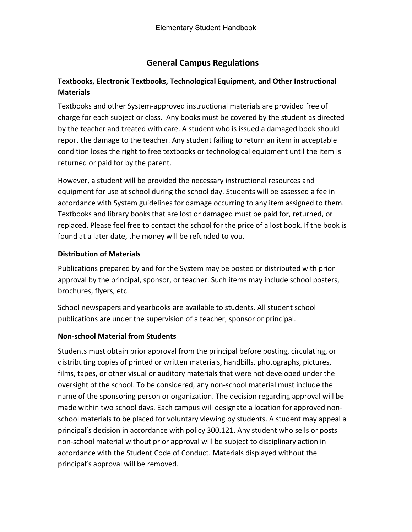# **General Campus Regulations**

## <span id="page-28-1"></span><span id="page-28-0"></span>**Textbooks, Electronic Textbooks, Technological Equipment, and Other Instructional Materials**

Textbooks and other System-approved instructional materials are provided free of charge for each subject or class. Any books must be covered by the student as directed by the teacher and treated with care. A student who is issued a damaged book should report the damage to the teacher. Any student failing to return an item in acceptable condition loses the right to free textbooks or technological equipment until the item is returned or paid for by the parent.

However, a student will be provided the necessary instructional resources and equipment for use at school during the school day. Students will be assessed a fee in accordance with System guidelines for damage occurring to any item assigned to them. Textbooks and library books that are lost or damaged must be paid for, returned, or replaced. Please feel free to contact the school for the price of a lost book. If the book is found at a later date, the money will be refunded to you.

#### <span id="page-28-2"></span>**Distribution of Materials**

Publications prepared by and for the System may be posted or distributed with prior approval by the principal, sponsor, or teacher. Such items may include school posters, brochures, flyers, etc.

School newspapers and yearbooks are available to students. All student school publications are under the supervision of a teacher, sponsor or principal.

#### <span id="page-28-3"></span>**Non-school Material from Students**

<span id="page-28-4"></span>Students must obtain prior approval from the principal before posting, circulating, or distributing copies of printed or written materials, handbills, photographs, pictures, films, tapes, or other visual or auditory materials that were not developed under the oversight of the school. To be considered, any non-school material must include the name of the sponsoring person or organization. The decision regarding approval will be made within two school days. Each campus will designate a location for approved nonschool materials to be placed for voluntary viewing by students. A student may appeal a principal's decision in accordance with policy 300.121. Any student who sells or posts non-school material without prior approval will be subject to disciplinary action in accordance with the Student Code of Conduct. Materials displayed without the principal's approval will be removed.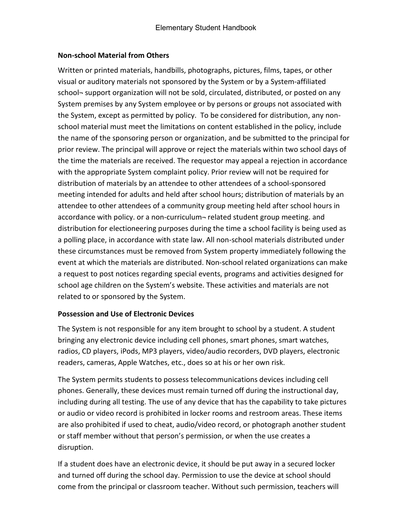#### **Non-school Material from Others**

Written or printed materials, handbills, photographs, pictures, films, tapes, or other visual or auditory materials not sponsored by the System or by a System-affiliated school- support organization will not be sold, circulated, distributed, or posted on any System premises by any System employee or by persons or groups not associated with the System, except as permitted by policy. To be considered for distribution, any nonschool material must meet the limitations on content established in the policy, include the name of the sponsoring person or organization, and be submitted to the principal for prior review. The principal will approve or reject the materials within two school days of the time the materials are received. The requestor may appeal a rejection in accordance with the appropriate System complaint policy. Prior review will not be required for distribution of materials by an attendee to other attendees of a school-sponsored meeting intended for adults and held after school hours; distribution of materials by an attendee to other attendees of a community group meeting held after school hours in accordance with policy. or a non-curriculum¬ related student group meeting. and distribution for electioneering purposes during the time a school facility is being used as a polling place, in accordance with state law. All non-school materials distributed under these circumstances must be removed from System property immediately following the event at which the materials are distributed. Non-school related organizations can make a request to post notices regarding special events, programs and activities designed for school age children on the System's website. These activities and materials are not related to or sponsored by the System.

#### <span id="page-29-0"></span>**Possession and Use of Electronic Devices**

The System is not responsible for any item brought to school by a student. A student bringing any electronic device including cell phones, smart phones, smart watches, radios, CD players, iPods, MP3 players, video/audio recorders, DVD players, electronic readers, cameras, Apple Watches, etc., does so at his or her own risk.

The System permits students to possess telecommunications devices including cell phones. Generally, these devices must remain turned off during the instructional day, including during all testing. The use of any device that has the capability to take pictures or audio or video record is prohibited in locker rooms and restroom areas. These items are also prohibited if used to cheat, audio/video record, or photograph another student or staff member without that person's permission, or when the use creates a disruption.

If a student does have an electronic device, it should be put away in a secured locker and turned off during the school day. Permission to use the device at school should come from the principal or classroom teacher. Without such permission, teachers will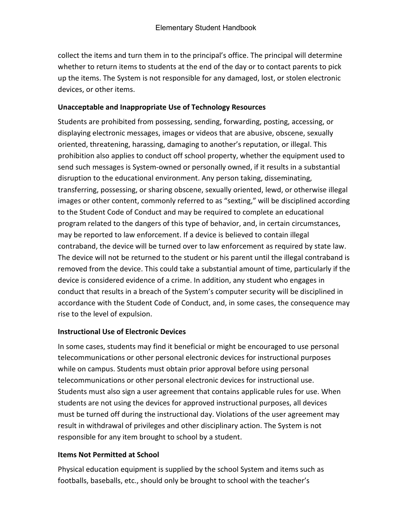collect the items and turn them in to the principal's office. The principal will determine whether to return items to students at the end of the day or to contact parents to pick up the items. The System is not responsible for any damaged, lost, or stolen electronic devices, or other items.

#### <span id="page-30-0"></span>**Unacceptable and Inappropriate Use of Technology Resources**

Students are prohibited from possessing, sending, forwarding, posting, accessing, or displaying electronic messages, images or videos that are abusive, obscene, sexually oriented, threatening, harassing, damaging to another's reputation, or illegal. This prohibition also applies to conduct off school property, whether the equipment used to send such messages is System-owned or personally owned, if it results in a substantial disruption to the educational environment. Any person taking, disseminating, transferring, possessing, or sharing obscene, sexually oriented, lewd, or otherwise illegal images or other content, commonly referred to as "sexting," will be disciplined according to the Student Code of Conduct and may be required to complete an educational program related to the dangers of this type of behavior, and, in certain circumstances, may be reported to law enforcement. If a device is believed to contain illegal contraband, the device will be turned over to law enforcement as required by state law. The device will not be returned to the student or his parent until the illegal contraband is removed from the device. This could take a substantial amount of time, particularly if the device is considered evidence of a crime. In addition, any student who engages in conduct that results in a breach of the System's computer security will be disciplined in accordance with the Student Code of Conduct, and, in some cases, the consequence may rise to the level of expulsion.

#### <span id="page-30-1"></span>**Instructional Use of Electronic Devices**

In some cases, students may find it beneficial or might be encouraged to use personal telecommunications or other personal electronic devices for instructional purposes while on campus. Students must obtain prior approval before using personal telecommunications or other personal electronic devices for instructional use. Students must also sign a user agreement that contains applicable rules for use. When students are not using the devices for approved instructional purposes, all devices must be turned off during the instructional day. Violations of the user agreement may result in withdrawal of privileges and other disciplinary action. The System is not responsible for any item brought to school by a student.

#### <span id="page-30-2"></span>**Items Not Permitted at School**

Physical education equipment is supplied by the school System and items such as footballs, baseballs, etc., should only be brought to school with the teacher's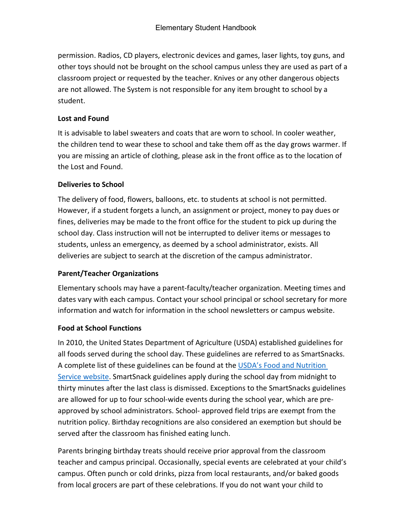permission. Radios, CD players, electronic devices and games, laser lights, toy guns, and other toys should not be brought on the school campus unless they are used as part of a classroom project or requested by the teacher. Knives or any other dangerous objects are not allowed. The System is not responsible for any item brought to school by a student.

#### <span id="page-31-0"></span>**Lost and Found**

It is advisable to label sweaters and coats that are worn to school. In cooler weather, the children tend to wear these to school and take them off as the day grows warmer. If you are missing an article of clothing, please ask in the front office as to the location of the Lost and Found.

#### <span id="page-31-1"></span>**Deliveries to School**

The delivery of food, flowers, balloons, etc. to students at school is not permitted. However, if a student forgets a lunch, an assignment or project, money to pay dues or fines, deliveries may be made to the front office for the student to pick up during the school day. Class instruction will not be interrupted to deliver items or messages to students, unless an emergency, as deemed by a school administrator, exists. All deliveries are subject to search at the discretion of the campus administrator.

#### <span id="page-31-2"></span>**Parent/Teacher Organizations**

Elementary schools may have a parent-faculty/teacher organization. Meeting times and dates vary with each campus. Contact your school principal or school secretary for more information and watch for information in the school newsletters or campus website.

#### <span id="page-31-3"></span>**Food at School Functions**

In 2010, the United States Department of Agriculture (USDA) established guidelines for all foods served during the school day. These guidelines are referred to as SmartSnacks. A complete list of these guidelines can be found at the USDA's Food and Nutrition [Service website.](http://www.fns.usda.gov/) SmartSnack guidelines apply during the school day from midnight to thirty minutes after the last class is dismissed. Exceptions to the SmartSnacks guidelines are allowed for up to four school-wide events during the school year, which are preapproved by school administrators. School- approved field trips are exempt from the nutrition policy. Birthday recognitions are also considered an exemption but should be served after the classroom has finished eating lunch.

Parents bringing birthday treats should receive prior approval from the classroom teacher and campus principal. Occasionally, special events are celebrated at your child's campus. Often punch or cold drinks, pizza from local restaurants, and/or baked goods from local grocers are part of these celebrations. If you do not want your child to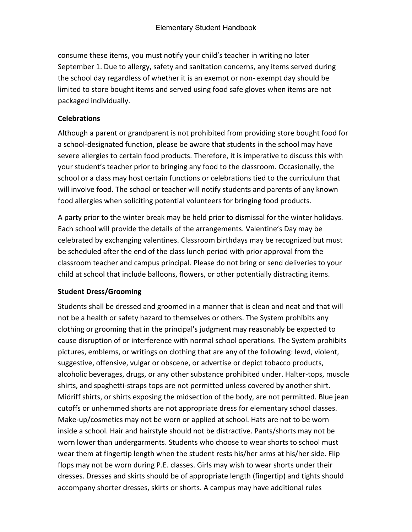consume these items, you must notify your child's teacher in writing no later September 1. Due to allergy, safety and sanitation concerns, any items served during the school day regardless of whether it is an exempt or non- exempt day should be limited to store bought items and served using food safe gloves when items are not packaged individually.

#### <span id="page-32-0"></span>**Celebrations**

Although a parent or grandparent is not prohibited from providing store bought food for a school-designated function, please be aware that students in the school may have severe allergies to certain food products. Therefore, it is imperative to discuss this with your student's teacher prior to bringing any food to the classroom. Occasionally, the school or a class may host certain functions or celebrations tied to the curriculum that will involve food. The school or teacher will notify students and parents of any known food allergies when soliciting potential volunteers for bringing food products.

A party prior to the winter break may be held prior to dismissal for the winter holidays. Each school will provide the details of the arrangements. Valentine's Day may be celebrated by exchanging valentines. Classroom birthdays may be recognized but must be scheduled after the end of the class lunch period with prior approval from the classroom teacher and campus principal. Please do not bring or send deliveries to your child at school that include balloons, flowers, or other potentially distracting items.

#### <span id="page-32-1"></span>**Student Dress/Grooming**

Students shall be dressed and groomed in a manner that is clean and neat and that will not be a health or safety hazard to themselves or others. The System prohibits any clothing or grooming that in the principal's judgment may reasonably be expected to cause disruption of or interference with normal school operations. The System prohibits pictures, emblems, or writings on clothing that are any of the following: lewd, violent, suggestive, offensive, vulgar or obscene, or advertise or depict tobacco products, alcoholic beverages, drugs, or any other substance prohibited under. Halter-tops, muscle shirts, and spaghetti-straps tops are not permitted unless covered by another shirt. Midriff shirts, or shirts exposing the midsection of the body, are not permitted. Blue jean cutoffs or unhemmed shorts are not appropriate dress for elementary school classes. Make-up/cosmetics may not be worn or applied at school. Hats are not to be worn inside a school. Hair and hairstyle should not be distractive. Pants/shorts may not be worn lower than undergarments. Students who choose to wear shorts to school must wear them at fingertip length when the student rests his/her arms at his/her side. Flip flops may not be worn during P.E. classes. Girls may wish to wear shorts under their dresses. Dresses and skirts should be of appropriate length (fingertip) and tights should accompany shorter dresses, skirts or shorts. A campus may have additional rules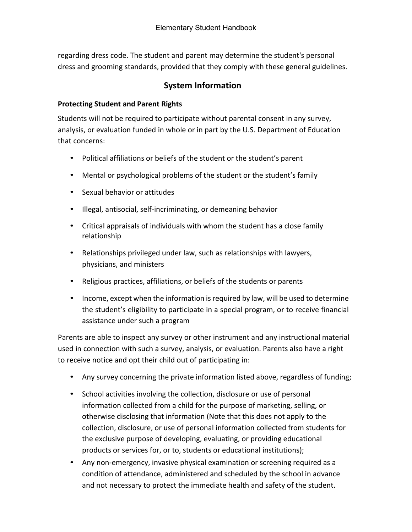<span id="page-33-0"></span>regarding dress code. The student and parent may determine the student's personal dress and grooming standards, provided that they comply with these general guidelines.

## **System Information**

#### <span id="page-33-1"></span>**Protecting Student and Parent Rights**

Students will not be required to participate without parental consent in any survey, analysis, or evaluation funded in whole or in part by the U.S. Department of Education that concerns:

- Political affiliations or beliefs of the student or the student's parent
- Mental or psychological problems of the student or the student's family
- Sexual behavior or attitudes
- Illegal, antisocial, self-incriminating, or demeaning behavior
- Critical appraisals of individuals with whom the student has a close family relationship
- Relationships privileged under law, such as relationships with lawyers, physicians, and ministers
- Religious practices, affiliations, or beliefs of the students or parents
- Income, except when the information is required by law, will be used to determine the student's eligibility to participate in a special program, or to receive financial assistance under such a program

Parents are able to inspect any survey or other instrument and any instructional material used in connection with such a survey, analysis, or evaluation. Parents also have a right to receive notice and opt their child out of participating in:

- Any survey concerning the private information listed above, regardless of funding;
- School activities involving the collection, disclosure or use of personal information collected from a child for the purpose of marketing, selling, or otherwise disclosing that information (Note that this does not apply to the collection, disclosure, or use of personal information collected from students for the exclusive purpose of developing, evaluating, or providing educational products or services for, or to, students or educational institutions);
- Any non-emergency, invasive physical examination or screening required as a condition of attendance, administered and scheduled by the school in advance and not necessary to protect the immediate health and safety of the student.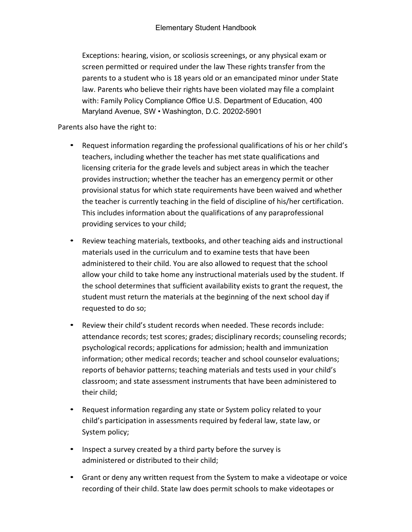Exceptions: hearing, vision, or scoliosis screenings, or any physical exam or screen permitted or required under the law These rights transfer from the parents to a student who is 18 years old or an emancipated minor under State law. Parents who believe their rights have been violated may file a complaint with: Family Policy Compliance Office U.S. Department of Education, 400 Maryland Avenue, SW • Washington, D.C. 20202-5901

Parents also have the right to:

- Request information regarding the professional qualifications of his or her child's teachers, including whether the teacher has met state qualifications and licensing criteria for the grade levels and subject areas in which the teacher provides instruction; whether the teacher has an emergency permit or other provisional status for which state requirements have been waived and whether the teacher is currently teaching in the field of discipline of his/her certification. This includes information about the qualifications of any paraprofessional providing services to your child;
- Review teaching materials, textbooks, and other teaching aids and instructional materials used in the curriculum and to examine tests that have been administered to their child. You are also allowed to request that the school allow your child to take home any instructional materials used by the student. If the school determines that sufficient availability exists to grant the request, the student must return the materials at the beginning of the next school day if requested to do so;
- Review their child's student records when needed. These records include: attendance records; test scores; grades; disciplinary records; counseling records; psychological records; applications for admission; health and immunization information; other medical records; teacher and school counselor evaluations; reports of behavior patterns; teaching materials and tests used in your child's classroom; and state assessment instruments that have been administered to their child;
- Request information regarding any state or System policy related to your child's participation in assessments required by federal law, state law, or System policy;
- Inspect a survey created by a third party before the survey is administered or distributed to their child;
- Grant or deny any written request from the System to make a videotape or voice recording of their child. State law does permit schools to make videotapes or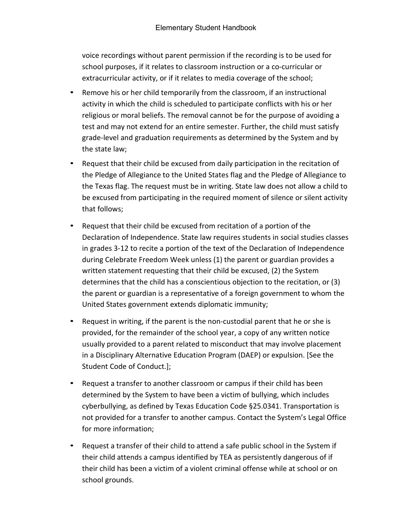voice recordings without parent permission if the recording is to be used for school purposes, if it relates to classroom instruction or a co-curricular or extracurricular activity, or if it relates to media coverage of the school;

- Remove his or her child temporarily from the classroom, if an instructional activity in which the child is scheduled to participate conflicts with his or her religious or moral beliefs. The removal cannot be for the purpose of avoiding a test and may not extend for an entire semester. Further, the child must satisfy grade-level and graduation requirements as determined by the System and by the state law;
- Request that their child be excused from daily participation in the recitation of the Pledge of Allegiance to the United States flag and the Pledge of Allegiance to the Texas flag. The request must be in writing. State law does not allow a child to be excused from participating in the required moment of silence or silent activity that follows;
- Request that their child be excused from recitation of a portion of the Declaration of Independence. State law requires students in social studies classes in grades 3-12 to recite a portion of the text of the Declaration of Independence during Celebrate Freedom Week unless (1) the parent or guardian provides a written statement requesting that their child be excused, (2) the System determines that the child has a conscientious objection to the recitation, or (3) the parent or guardian is a representative of a foreign government to whom the United States government extends diplomatic immunity;
- Request in writing, if the parent is the non-custodial parent that he or she is provided, for the remainder of the school year, a copy of any written notice usually provided to a parent related to misconduct that may involve placement in a Disciplinary Alternative Education Program (DAEP) or expulsion. [See the Student Code of Conduct.];
- Request a transfer to another classroom or campus if their child has been determined by the System to have been a victim of bullying, which includes cyberbullying, as defined by Texas Education Code §25.0341. Transportation is not provided for a transfer to another campus. Contact the System's Legal Office for more information;
- Request a transfer of their child to attend a safe public school in the System if their child attends a campus identified by TEA as persistently dangerous of if their child has been a victim of a violent criminal offense while at school or on school grounds.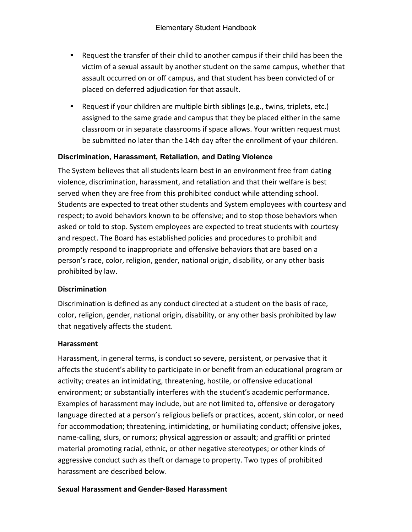- Request the transfer of their child to another campus if their child has been the victim of a sexual assault by another student on the same campus, whether that assault occurred on or off campus, and that student has been convicted of or placed on deferred adjudication for that assault.
- Request if your children are multiple birth siblings (e.g., twins, triplets, etc.) assigned to the same grade and campus that they be placed either in the same classroom or in separate classrooms if space allows. Your written request must be submitted no later than the 14th day after the enrollment of your children.

#### **Discrimination, Harassment, Retaliation, and Dating Violence**

The System believes that all students learn best in an environment free from dating violence, discrimination, harassment, and retaliation and that their welfare is best served when they are free from this prohibited conduct while attending school. Students are expected to treat other students and System employees with courtesy and respect; to avoid behaviors known to be offensive; and to stop those behaviors when asked or told to stop. System employees are expected to treat students with courtesy and respect. The Board has established policies and procedures to prohibit and promptly respond to inappropriate and offensive behaviors that are based on a person's race, color, religion, gender, national origin, disability, or any other basis prohibited by law.

#### **Discrimination**

Discrimination is defined as any conduct directed at a student on the basis of race, color, religion, gender, national origin, disability, or any other basis prohibited by law that negatively affects the student.

#### **Harassment**

Harassment, in general terms, is conduct so severe, persistent, or pervasive that it affects the student's ability to participate in or benefit from an educational program or activity; creates an intimidating, threatening, hostile, or offensive educational environment; or substantially interferes with the student's academic performance. Examples of harassment may include, but are not limited to, offensive or derogatory language directed at a person's religious beliefs or practices, accent, skin color, or need for accommodation; threatening, intimidating, or humiliating conduct; offensive jokes, name-calling, slurs, or rumors; physical aggression or assault; and graffiti or printed material promoting racial, ethnic, or other negative stereotypes; or other kinds of aggressive conduct such as theft or damage to property. Two types of prohibited harassment are described below.

#### **Sexual Harassment and Gender-Based Harassment**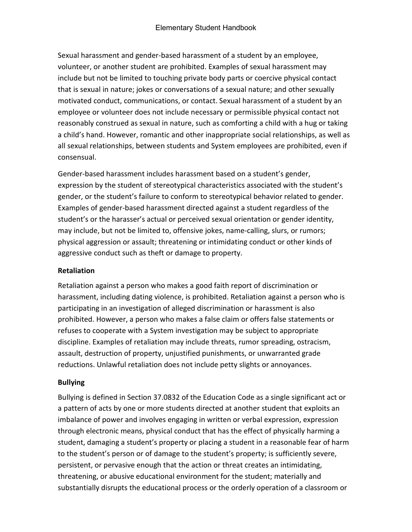Sexual harassment and gender-based harassment of a student by an employee, volunteer, or another student are prohibited. Examples of sexual harassment may include but not be limited to touching private body parts or coercive physical contact that is sexual in nature; jokes or conversations of a sexual nature; and other sexually motivated conduct, communications, or contact. Sexual harassment of a student by an employee or volunteer does not include necessary or permissible physical contact not reasonably construed as sexual in nature, such as comforting a child with a hug or taking a child's hand. However, romantic and other inappropriate social relationships, as well as all sexual relationships, between students and System employees are prohibited, even if consensual.

Gender-based harassment includes harassment based on a student's gender, expression by the student of stereotypical characteristics associated with the student's gender, or the student's failure to conform to stereotypical behavior related to gender. Examples of gender-based harassment directed against a student regardless of the student's or the harasser's actual or perceived sexual orientation or gender identity, may include, but not be limited to, offensive jokes, name-calling, slurs, or rumors; physical aggression or assault; threatening or intimidating conduct or other kinds of aggressive conduct such as theft or damage to property.

#### **Retaliation**

Retaliation against a person who makes a good faith report of discrimination or harassment, including dating violence, is prohibited. Retaliation against a person who is participating in an investigation of alleged discrimination or harassment is also prohibited. However, a person who makes a false claim or offers false statements or refuses to cooperate with a System investigation may be subject to appropriate discipline. Examples of retaliation may include threats, rumor spreading, ostracism, assault, destruction of property, unjustified punishments, or unwarranted grade reductions. Unlawful retaliation does not include petty slights or annoyances.

#### **Bullying**

Bullying is defined in Section 37.0832 of the Education Code as a single significant act or a pattern of acts by one or more students directed at another student that exploits an imbalance of power and involves engaging in written or verbal expression, expression through electronic means, physical conduct that has the effect of physically harming a student, damaging a student's property or placing a student in a reasonable fear of harm to the student's person or of damage to the student's property; is sufficiently severe, persistent, or pervasive enough that the action or threat creates an intimidating, threatening, or abusive educational environment for the student; materially and substantially disrupts the educational process or the orderly operation of a classroom or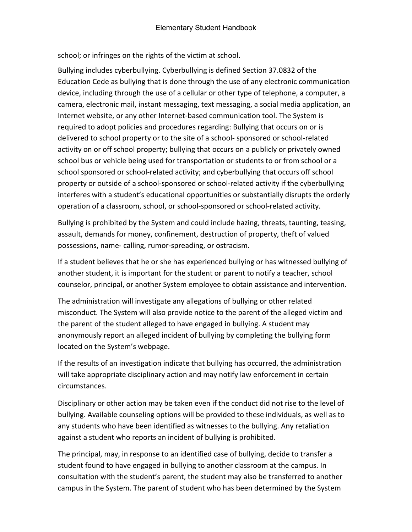school; or infringes on the rights of the victim at school.

Bullying includes cyberbullying. Cyberbullying is defined Section 37.0832 of the Education Cede as bullying that is done through the use of any electronic communication device, including through the use of a cellular or other type of telephone, a computer, a camera, electronic mail, instant messaging, text messaging, a social media application, an Internet website, or any other Internet-based communication tool. The System is required to adopt policies and procedures regarding: Bullying that occurs on or is delivered to school property or to the site of a school- sponsored or school-related activity on or off school property; bullying that occurs on a publicly or privately owned school bus or vehicle being used for transportation or students to or from school or a school sponsored or school-related activity; and cyberbullying that occurs off school property or outside of a school-sponsored or school-related activity if the cyberbullying interferes with a student's educational opportunities or substantially disrupts the orderly operation of a classroom, school, or school-sponsored or school-related activity.

Bullying is prohibited by the System and could include hazing, threats, taunting, teasing, assault, demands for money, confinement, destruction of property, theft of valued possessions, name- calling, rumor-spreading, or ostracism.

If a student believes that he or she has experienced bullying or has witnessed bullying of another student, it is important for the student or parent to notify a teacher, school counselor, principal, or another System employee to obtain assistance and intervention.

The administration will investigate any allegations of bullying or other related misconduct. The System will also provide notice to the parent of the alleged victim and the parent of the student alleged to have engaged in bullying. A student may anonymously report an alleged incident of bullying by completing the bullying form located on the System's webpage.

If the results of an investigation indicate that bullying has occurred, the administration will take appropriate disciplinary action and may notify law enforcement in certain circumstances.

Disciplinary or other action may be taken even if the conduct did not rise to the level of bullying. Available counseling options will be provided to these individuals, as well as to any students who have been identified as witnesses to the bullying. Any retaliation against a student who reports an incident of bullying is prohibited.

The principal, may, in response to an identified case of bullying, decide to transfer a student found to have engaged in bullying to another classroom at the campus. In consultation with the student's parent, the student may also be transferred to another campus in the System. The parent of student who has been determined by the System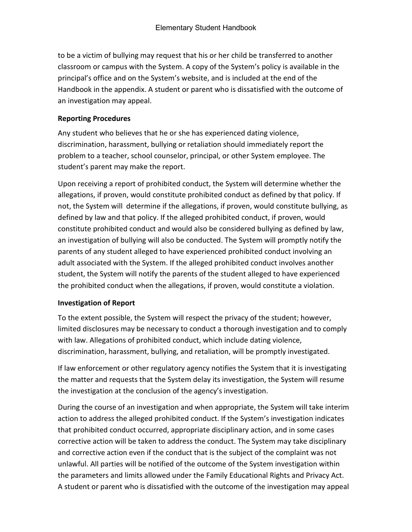to be a victim of bullying may request that his or her child be transferred to another classroom or campus with the System. A copy of the System's policy is available in the principal's office and on the System's website, and is included at the end of the Handbook in the appendix. A student or parent who is dissatisfied with the outcome of an investigation may appeal.

#### **Reporting Procedures**

Any student who believes that he or she has experienced dating violence, discrimination, harassment, bullying or retaliation should immediately report the problem to a teacher, school counselor, principal, or other System employee. The student's parent may make the report.

Upon receiving a report of prohibited conduct, the System will determine whether the allegations, if proven, would constitute prohibited conduct as defined by that policy. If not, the System will determine if the allegations, if proven, would constitute bullying, as defined by law and that policy. If the alleged prohibited conduct, if proven, would constitute prohibited conduct and would also be considered bullying as defined by law, an investigation of bullying will also be conducted. The System will promptly notify the parents of any student alleged to have experienced prohibited conduct involving an adult associated with the System. If the alleged prohibited conduct involves another student, the System will notify the parents of the student alleged to have experienced the prohibited conduct when the allegations, if proven, would constitute a violation.

#### **Investigation of Report**

To the extent possible, the System will respect the privacy of the student; however, limited disclosures may be necessary to conduct a thorough investigation and to comply with law. Allegations of prohibited conduct, which include dating violence, discrimination, harassment, bullying, and retaliation, will be promptly investigated.

If law enforcement or other regulatory agency notifies the System that it is investigating the matter and requests that the System delay its investigation, the System will resume the investigation at the conclusion of the agency's investigation.

During the course of an investigation and when appropriate, the System will take interim action to address the alleged prohibited conduct. If the System's investigation indicates that prohibited conduct occurred, appropriate disciplinary action, and in some cases corrective action will be taken to address the conduct. The System may take disciplinary and corrective action even if the conduct that is the subject of the complaint was not unlawful. All parties will be notified of the outcome of the System investigation within the parameters and limits allowed under the Family Educational Rights and Privacy Act. A student or parent who is dissatisfied with the outcome of the investigation may appeal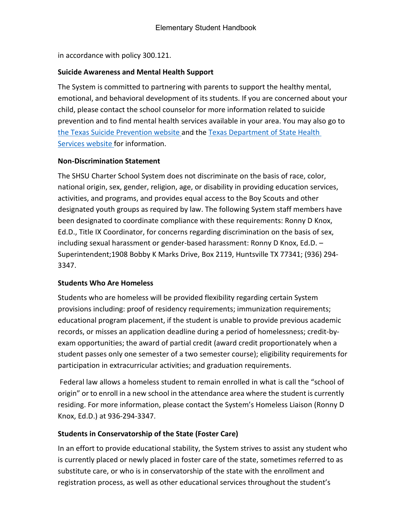in accordance with policy 300.121.

#### **Suicide Awareness and Mental Health Support**

The System is committed to partnering with parents to support the healthy mental, emotional, and behavioral development of its students. If you are concerned about your child, please contact the school counselor for more information related to suicide prevention and to find mental health services available in your area. You may also go to [the Texas Suicide Prevention](http://www.texassuicideprevention.org/) [website a](http://www.texassuicideprevention.org/)nd the [Texas Department of State Health](http://www.dshs.state.tx.us/mhservices-search/)  [Services website f](http://www.dshs.state.tx.us/mhservices-search/)or information.

#### **Non-Discrimination Statement**

The SHSU Charter School System does not discriminate on the basis of race, color, national origin, sex, gender, religion, age, or disability in providing education services, activities, and programs, and provides equal access to the Boy Scouts and other designated youth groups as required by law. The following System staff members have been designated to coordinate compliance with these requirements: Ronny D Knox, Ed.D., Title IX Coordinator, for concerns regarding discrimination on the basis of sex, including sexual harassment or gender-based harassment: Ronny D Knox, Ed.D. – Superintendent;1908 Bobby K Marks Drive, Box 2119, Huntsville TX 77341; (936) 294- 3347.

#### **Students Who Are Homeless**

Students who are homeless will be provided flexibility regarding certain System provisions including: proof of residency requirements; immunization requirements; educational program placement, if the student is unable to provide previous academic records, or misses an application deadline during a period of homelessness; credit-byexam opportunities; the award of partial credit (award credit proportionately when a student passes only one semester of a two semester course); eligibility requirements for participation in extracurricular activities; and graduation requirements.

Federal law allows a homeless student to remain enrolled in what is call the "school of origin" or to enroll in a new school in the attendance area where the student is currently residing. For more information, please contact the System's Homeless Liaison (Ronny D Knox, Ed.D.) at 936-294-3347.

# **Students in Conservatorship of the State (Foster Care)**

In an effort to provide educational stability, the System strives to assist any student who is currently placed or newly placed in foster care of the state, sometimes referred to as substitute care, or who is in conservatorship of the state with the enrollment and registration process, as well as other educational services throughout the student's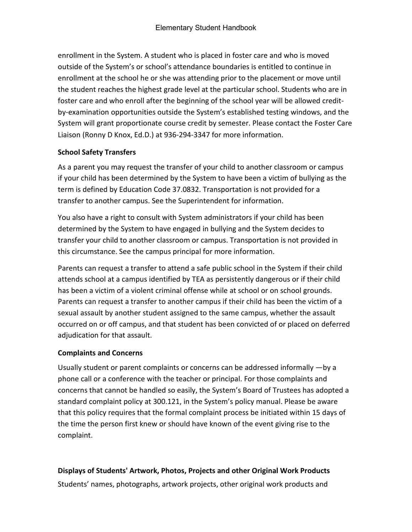enrollment in the System. A student who is placed in foster care and who is moved outside of the System's or school's attendance boundaries is entitled to continue in enrollment at the school he or she was attending prior to the placement or move until the student reaches the highest grade level at the particular school. Students who are in foster care and who enroll after the beginning of the school year will be allowed creditby-examination opportunities outside the System's established testing windows, and the System will grant proportionate course credit by semester. Please contact the Foster Care Liaison (Ronny D Knox, Ed.D.) at 936-294-3347 for more information.

### **School Safety Transfers**

As a parent you may request the transfer of your child to another classroom or campus if your child has been determined by the System to have been a victim of bullying as the term is defined by Education Code 37.0832. Transportation is not provided for a transfer to another campus. See the Superintendent for information.

You also have a right to consult with System administrators if your child has been determined by the System to have engaged in bullying and the System decides to transfer your child to another classroom or campus. Transportation is not provided in this circumstance. See the campus principal for more information.

Parents can request a transfer to attend a safe public school in the System if their child attends school at a campus identified by TEA as persistently dangerous or if their child has been a victim of a violent criminal offense while at school or on school grounds. Parents can request a transfer to another campus if their child has been the victim of a sexual assault by another student assigned to the same campus, whether the assault occurred on or off campus, and that student has been convicted of or placed on deferred adjudication for that assault.

# **Complaints and Concerns**

Usually student or parent complaints or concerns can be addressed informally —by a phone call or a conference with the teacher or principal. For those complaints and concerns that cannot be handled so easily, the System's Board of Trustees has adopted a standard complaint policy at 300.121, in the System's policy manual. Please be aware that this policy requires that the formal complaint process be initiated within 15 days of the time the person first knew or should have known of the event giving rise to the complaint.

# **Displays of Students' Artwork, Photos, Projects and other Original Work Products**

Students' names, photographs, artwork projects, other original work products and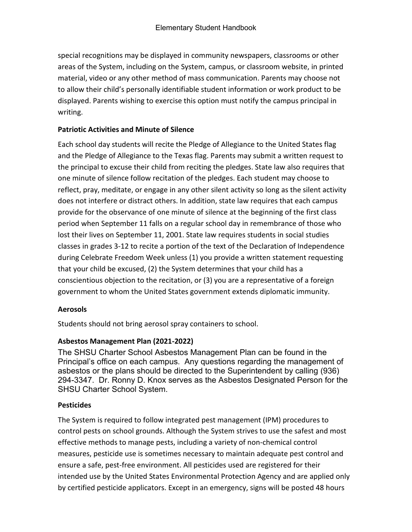special recognitions may be displayed in community newspapers, classrooms or other areas of the System, including on the System, campus, or classroom website, in printed material, video or any other method of mass communication. Parents may choose not to allow their child's personally identifiable student information or work product to be displayed. Parents wishing to exercise this option must notify the campus principal in writing.

#### **Patriotic Activities and Minute of Silence**

Each school day students will recite the Pledge of Allegiance to the United States flag and the Pledge of Allegiance to the Texas flag. Parents may submit a written request to the principal to excuse their child from reciting the pledges. State law also requires that one minute of silence follow recitation of the pledges. Each student may choose to reflect, pray, meditate, or engage in any other silent activity so long as the silent activity does not interfere or distract others. In addition, state law requires that each campus provide for the observance of one minute of silence at the beginning of the first class period when September 11 falls on a regular school day in remembrance of those who lost their lives on September 11, 2001. State law requires students in social studies classes in grades 3-12 to recite a portion of the text of the Declaration of Independence during Celebrate Freedom Week unless (1) you provide a written statement requesting that your child be excused, (2) the System determines that your child has a conscientious objection to the recitation, or (3) you are a representative of a foreign government to whom the United States government extends diplomatic immunity.

#### **Aerosols**

Students should not bring aerosol spray containers to school.

# **Asbestos Management Plan (2021-2022)**

The SHSU Charter School Asbestos Management Plan can be found in the Principal's office on each campus. Any questions regarding the management of asbestos or the plans should be directed to the Superintendent by calling (936) 294-3347. Dr. Ronny D. Knox serves as the Asbestos Designated Person for the SHSU Charter School System.

# **Pesticides**

The System is required to follow integrated pest management (IPM) procedures to control pests on school grounds. Although the System strives to use the safest and most effective methods to manage pests, including a variety of non-chemical control measures, pesticide use is sometimes necessary to maintain adequate pest control and ensure a safe, pest-free environment. All pesticides used are registered for their intended use by the United States Environmental Protection Agency and are applied only by certified pesticide applicators. Except in an emergency, signs will be posted 48 hours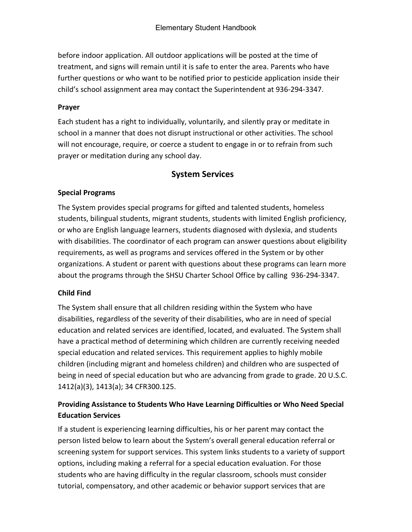before indoor application. All outdoor applications will be posted at the time of treatment, and signs will remain until it is safe to enter the area. Parents who have further questions or who want to be notified prior to pesticide application inside their child's school assignment area may contact the Superintendent at 936-294-3347.

### **Prayer**

Each student has a right to individually, voluntarily, and silently pray or meditate in school in a manner that does not disrupt instructional or other activities. The school will not encourage, require, or coerce a student to engage in or to refrain from such prayer or meditation during any school day.

# **System Services**

### **Special Programs**

The System provides special programs for gifted and talented students, homeless students, bilingual students, migrant students, students with limited English proficiency, or who are English language learners, students diagnosed with dyslexia, and students with disabilities. The coordinator of each program can answer questions about eligibility requirements, as well as programs and services offered in the System or by other organizations. A student or parent with questions about these programs can learn more about the programs through the SHSU Charter School Office by calling 936-294-3347.

# **Child Find**

The System shall ensure that all children residing within the System who have disabilities, regardless of the severity of their disabilities, who are in need of special education and related services are identified, located, and evaluated. The System shall have a practical method of determining which children are currently receiving needed special education and related services. This requirement applies to highly mobile children (including migrant and homeless children) and children who are suspected of being in need of special education but who are advancing from grade to grade. 20 U.S.C. 1412(a)(3), 1413(a); 34 CFR300.125.

# **Providing Assistance to Students Who Have Learning Difficulties or Who Need Special Education Services**

If a student is experiencing learning difficulties, his or her parent may contact the person listed below to learn about the System's overall general education referral or screening system for support services. This system links students to a variety of support options, including making a referral for a special education evaluation. For those students who are having difficulty in the regular classroom, schools must consider tutorial, compensatory, and other academic or behavior support services that are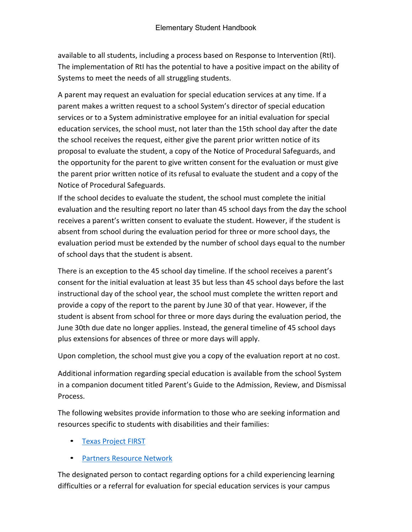available to all students, including a process based on Response to Intervention (RtI). The implementation of RtI has the potential to have a positive impact on the ability of Systems to meet the needs of all struggling students.

A parent may request an evaluation for special education services at any time. If a parent makes a written request to a school System's director of special education services or to a System administrative employee for an initial evaluation for special education services, the school must, not later than the 15th school day after the date the school receives the request, either give the parent prior written notice of its proposal to evaluate the student, a copy of the Notice of Procedural Safeguards, and the opportunity for the parent to give written consent for the evaluation or must give the parent prior written notice of its refusal to evaluate the student and a copy of the Notice of Procedural Safeguards.

If the school decides to evaluate the student, the school must complete the initial evaluation and the resulting report no later than 45 school days from the day the school receives a parent's written consent to evaluate the student. However, if the student is absent from school during the evaluation period for three or more school days, the evaluation period must be extended by the number of school days equal to the number of school days that the student is absent.

There is an exception to the 45 school day timeline. If the school receives a parent's consent for the initial evaluation at least 35 but less than 45 school days before the last instructional day of the school year, the school must complete the written report and provide a copy of the report to the parent by June 30 of that year. However, if the student is absent from school for three or more days during the evaluation period, the June 30th due date no longer applies. Instead, the general timeline of 45 school days plus extensions for absences of three or more days will apply.

Upon completion, the school must give you a copy of the evaluation report at no cost.

Additional information regarding special education is available from the school System in a companion document titled Parent's Guide to the Admission, Review, and Dismissal Process.

The following websites provide information to those who are seeking information and resources specific to students with disabilities and their families:

- [Texas Project FIRST](http://www.texasprojectfirst.org/)
- [Partners Resource Network](http://prntexas.org/)

The designated person to contact regarding options for a child experiencing learning difficulties or a referral for evaluation for special education services is your campus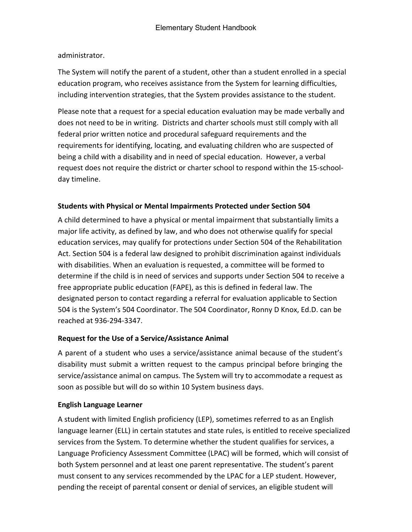administrator.

The System will notify the parent of a student, other than a student enrolled in a special education program, who receives assistance from the System for learning difficulties, including intervention strategies, that the System provides assistance to the student.

Please note that a request for a special education evaluation may be made verbally and does not need to be in writing. Districts and charter schools must still comply with all federal prior written notice and procedural safeguard requirements and the requirements for identifying, locating, and evaluating children who are suspected of being a child with a disability and in need of special education. However, a verbal request does not require the district or charter school to respond within the 15-schoolday timeline.

### **Students with Physical or Mental Impairments Protected under Section 504**

A child determined to have a physical or mental impairment that substantially limits a major life activity, as defined by law, and who does not otherwise qualify for special education services, may qualify for protections under Section 504 of the Rehabilitation Act. Section 504 is a federal law designed to prohibit discrimination against individuals with disabilities. When an evaluation is requested, a committee will be formed to determine if the child is in need of services and supports under Section 504 to receive a free appropriate public education (FAPE), as this is defined in federal law. The designated person to contact regarding a referral for evaluation applicable to Section 504 is the System's 504 Coordinator. The 504 Coordinator, Ronny D Knox, Ed.D. can be reached at 936-294-3347.

#### **Request for the Use of a Service/Assistance Animal**

A parent of a student who uses a service/assistance animal because of the student's disability must submit a written request to the campus principal before bringing the service/assistance animal on campus. The System will try to accommodate a request as soon as possible but will do so within 10 System business days.

#### **English Language Learner**

A student with limited English proficiency (LEP), sometimes referred to as an English language learner (ELL) in certain statutes and state rules, is entitled to receive specialized services from the System. To determine whether the student qualifies for services, a Language Proficiency Assessment Committee (LPAC) will be formed, which will consist of both System personnel and at least one parent representative. The student's parent must consent to any services recommended by the LPAC for a LEP student. However, pending the receipt of parental consent or denial of services, an eligible student will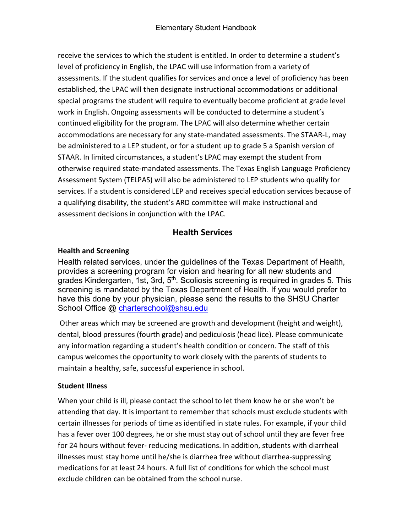receive the services to which the student is entitled. In order to determine a student's level of proficiency in English, the LPAC will use information from a variety of assessments. If the student qualifies for services and once a level of proficiency has been established, the LPAC will then designate instructional accommodations or additional special programs the student will require to eventually become proficient at grade level work in English. Ongoing assessments will be conducted to determine a student's continued eligibility for the program. The LPAC will also determine whether certain accommodations are necessary for any state-mandated assessments. The STAAR-L, may be administered to a LEP student, or for a student up to grade 5 a Spanish version of STAAR. In limited circumstances, a student's LPAC may exempt the student from otherwise required state-mandated assessments. The Texas English Language Proficiency Assessment System (TELPAS) will also be administered to LEP students who qualify for services. If a student is considered LEP and receives special education services because of a qualifying disability, the student's ARD committee will make instructional and assessment decisions in conjunction with the LPAC.

# **Health Services**

# **Health and Screening**

Health related services, under the guidelines of the Texas Department of Health, provides a screening program for vision and hearing for all new students and grades Kindergarten, 1st, 3rd, 5<sup>th</sup>. Scoliosis screening is required in grades 5. This screening is mandated by the Texas Department of Health. If you would prefer to have this done by your physician, please send the results to the SHSU Charter School Office @ [charterschool@shsu.edu](mailto:charterschool@shsu.edu)

Other areas which may be screened are growth and development (height and weight), dental, blood pressures (fourth grade) and pediculosis (head lice). Please communicate any information regarding a student's health condition or concern. The staff of this campus welcomes the opportunity to work closely with the parents of students to maintain a healthy, safe, successful experience in school.

# **Student Illness**

When your child is ill, please contact the school to let them know he or she won't be attending that day. It is important to remember that schools must exclude students with certain illnesses for periods of time as identified in state rules. For example, if your child has a fever over 100 degrees, he or she must stay out of school until they are fever free for 24 hours without fever- reducing medications. In addition, students with diarrheal illnesses must stay home until he/she is diarrhea free without diarrhea-suppressing medications for at least 24 hours. A full list of conditions for which the school must exclude children can be obtained from the school nurse.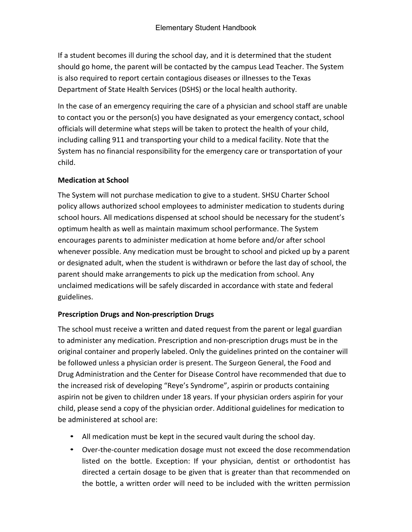If a student becomes ill during the school day, and it is determined that the student should go home, the parent will be contacted by the campus Lead Teacher. The System is also required to report certain contagious diseases or illnesses to the Texas Department of State Health Services (DSHS) or the local health authority.

In the case of an emergency requiring the care of a physician and school staff are unable to contact you or the person(s) you have designated as your emergency contact, school officials will determine what steps will be taken to protect the health of your child, including calling 911 and transporting your child to a medical facility. Note that the System has no financial responsibility for the emergency care or transportation of your child.

### **Medication at School**

The System will not purchase medication to give to a student. SHSU Charter School policy allows authorized school employees to administer medication to students during school hours. All medications dispensed at school should be necessary for the student's optimum health as well as maintain maximum school performance. The System encourages parents to administer medication at home before and/or after school whenever possible. Any medication must be brought to school and picked up by a parent or designated adult, when the student is withdrawn or before the last day of school, the parent should make arrangements to pick up the medication from school. Any unclaimed medications will be safely discarded in accordance with state and federal guidelines.

# **Prescription Drugs and Non-prescription Drugs**

The school must receive a written and dated request from the parent or legal guardian to administer any medication. Prescription and non-prescription drugs must be in the original container and properly labeled. Only the guidelines printed on the container will be followed unless a physician order is present. The Surgeon General, the Food and Drug Administration and the Center for Disease Control have recommended that due to the increased risk of developing "Reye's Syndrome", aspirin or products containing aspirin not be given to children under 18 years. If your physician orders aspirin for your child, please send a copy of the physician order. Additional guidelines for medication to be administered at school are:

- All medication must be kept in the secured vault during the school day.
- Over-the-counter medication dosage must not exceed the dose recommendation listed on the bottle. Exception: If your physician, dentist or orthodontist has directed a certain dosage to be given that is greater than that recommended on the bottle, a written order will need to be included with the written permission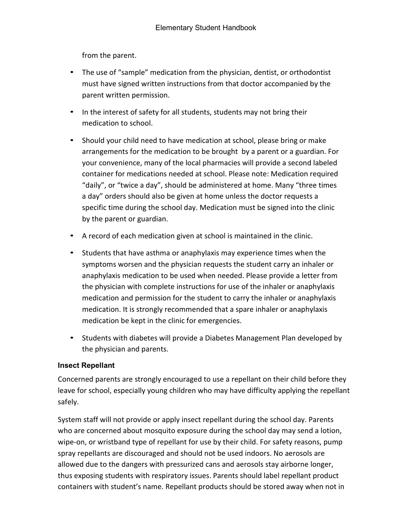from the parent.

- The use of "sample" medication from the physician, dentist, or orthodontist must have signed written instructions from that doctor accompanied by the parent written permission.
- In the interest of safety for all students, students may not bring their medication to school.
- Should your child need to have medication at school, please bring or make arrangements for the medication to be brought by a parent or a guardian. For your convenience, many of the local pharmacies will provide a second labeled container for medications needed at school. Please note: Medication required "daily", or "twice a day", should be administered at home. Many "three times a day" orders should also be given at home unless the doctor requests a specific time during the school day. Medication must be signed into the clinic by the parent or guardian.
- A record of each medication given at school is maintained in the clinic.
- Students that have asthma or anaphylaxis may experience times when the symptoms worsen and the physician requests the student carry an inhaler or anaphylaxis medication to be used when needed. Please provide a letter from the physician with complete instructions for use of the inhaler or anaphylaxis medication and permission for the student to carry the inhaler or anaphylaxis medication. It is strongly recommended that a spare inhaler or anaphylaxis medication be kept in the clinic for emergencies.
- Students with diabetes will provide a Diabetes Management Plan developed by the physician and parents.

#### **Insect Repellant**

Concerned parents are strongly encouraged to use a repellant on their child before they leave for school, especially young children who may have difficulty applying the repellant safely.

System staff will not provide or apply insect repellant during the school day. Parents who are concerned about mosquito exposure during the school day may send a lotion, wipe-on, or wristband type of repellant for use by their child. For safety reasons, pump spray repellants are discouraged and should not be used indoors. No aerosols are allowed due to the dangers with pressurized cans and aerosols stay airborne longer, thus exposing students with respiratory issues. Parents should label repellant product containers with student's name. Repellant products should be stored away when not in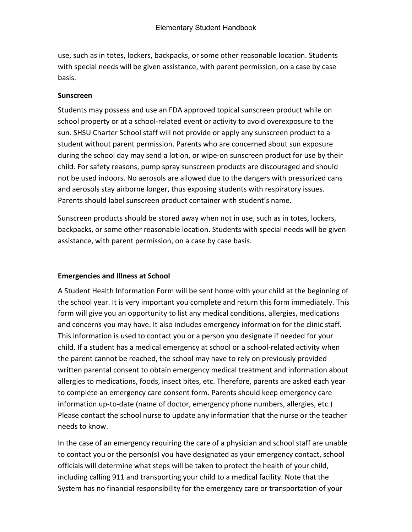use, such as in totes, lockers, backpacks, or some other reasonable location. Students with special needs will be given assistance, with parent permission, on a case by case basis.

#### **Sunscreen**

Students may possess and use an FDA approved topical sunscreen product while on school property or at a school-related event or activity to avoid overexposure to the sun. SHSU Charter School staff will not provide or apply any sunscreen product to a student without parent permission. Parents who are concerned about sun exposure during the school day may send a lotion, or wipe-on sunscreen product for use by their child. For safety reasons, pump spray sunscreen products are discouraged and should not be used indoors. No aerosols are allowed due to the dangers with pressurized cans and aerosols stay airborne longer, thus exposing students with respiratory issues. Parents should label sunscreen product container with student's name.

Sunscreen products should be stored away when not in use, such as in totes, lockers, backpacks, or some other reasonable location. Students with special needs will be given assistance, with parent permission, on a case by case basis.

#### **Emergencies and Illness at School**

A Student Health Information Form will be sent home with your child at the beginning of the school year. It is very important you complete and return this form immediately. This form will give you an opportunity to list any medical conditions, allergies, medications and concerns you may have. It also includes emergency information for the clinic staff. This information is used to contact you or a person you designate if needed for your child. If a student has a medical emergency at school or a school-related activity when the parent cannot be reached, the school may have to rely on previously provided written parental consent to obtain emergency medical treatment and information about allergies to medications, foods, insect bites, etc. Therefore, parents are asked each year to complete an emergency care consent form. Parents should keep emergency care information up-to-date (name of doctor, emergency phone numbers, allergies, etc.) Please contact the school nurse to update any information that the nurse or the teacher needs to know.

In the case of an emergency requiring the care of a physician and school staff are unable to contact you or the person(s) you have designated as your emergency contact, school officials will determine what steps will be taken to protect the health of your child, including calling 911 and transporting your child to a medical facility. Note that the System has no financial responsibility for the emergency care or transportation of your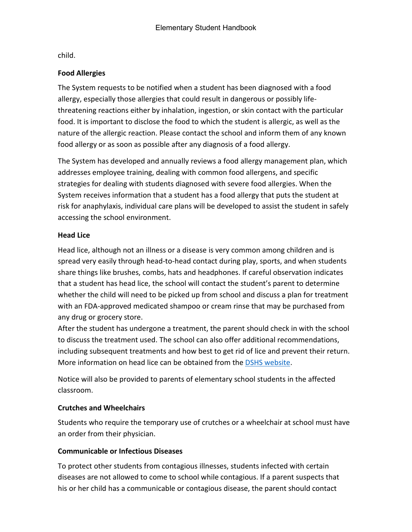child.

#### **Food Allergies**

The System requests to be notified when a student has been diagnosed with a food allergy, especially those allergies that could result in dangerous or possibly lifethreatening reactions either by inhalation, ingestion, or skin contact with the particular food. It is important to disclose the food to which the student is allergic, as well as the nature of the allergic reaction. Please contact the school and inform them of any known food allergy or as soon as possible after any diagnosis of a food allergy.

The System has developed and annually reviews a food allergy management plan, which addresses employee training, dealing with common food allergens, and specific strategies for dealing with students diagnosed with severe food allergies. When the System receives information that a student has a food allergy that puts the student at risk for anaphylaxis, individual care plans will be developed to assist the student in safely accessing the school environment.

#### **Head Lice**

Head lice, although not an illness or a disease is very common among children and is spread very easily through head-to-head contact during play, sports, and when students share things like brushes, combs, hats and headphones. If careful observation indicates that a student has head lice, the school will contact the student's parent to determine whether the child will need to be picked up from school and discuss a plan for treatment with an FDA-approved medicated shampoo or cream rinse that may be purchased from any drug or grocery store.

After the student has undergone a treatment, the parent should check in with the school to discuss the treatment used. The school can also offer additional recommendations, including subsequent treatments and how best to get rid of lice and prevent their return. More information on head lice can be obtained from the [DSHS website.](http://www.dshs.state.tx.us/schoolhealth/lice.shtm)

Notice will also be provided to parents of elementary school students in the affected classroom.

#### **Crutches and Wheelchairs**

Students who require the temporary use of crutches or a wheelchair at school must have an order from their physician.

#### **Communicable or Infectious Diseases**

To protect other students from contagious illnesses, students infected with certain diseases are not allowed to come to school while contagious. If a parent suspects that his or her child has a communicable or contagious disease, the parent should contact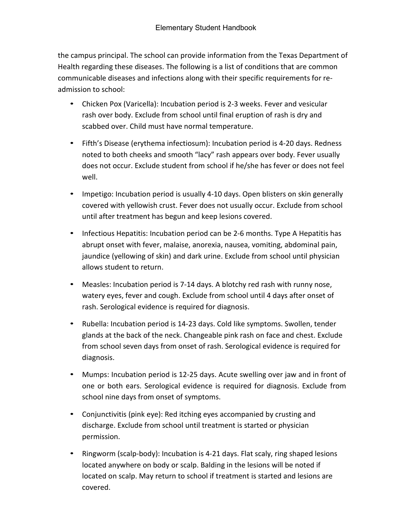the campus principal. The school can provide information from the Texas Department of Health regarding these diseases. The following is a list of conditions that are common communicable diseases and infections along with their specific requirements for readmission to school:

- Chicken Pox (Varicella): Incubation period is 2-3 weeks. Fever and vesicular rash over body. Exclude from school until final eruption of rash is dry and scabbed over. Child must have normal temperature.
- Fifth's Disease (erythema infectiosum): Incubation period is 4-20 days. Redness noted to both cheeks and smooth "lacy" rash appears over body. Fever usually does not occur. Exclude student from school if he/she has fever or does not feel well.
- Impetigo: Incubation period is usually 4-10 days. Open blisters on skin generally covered with yellowish crust. Fever does not usually occur. Exclude from school until after treatment has begun and keep lesions covered.
- Infectious Hepatitis: Incubation period can be 2-6 months. Type A Hepatitis has abrupt onset with fever, malaise, anorexia, nausea, vomiting, abdominal pain, jaundice (yellowing of skin) and dark urine. Exclude from school until physician allows student to return.
- Measles: Incubation period is 7-14 days. A blotchy red rash with runny nose, watery eyes, fever and cough. Exclude from school until 4 days after onset of rash. Serological evidence is required for diagnosis.
- Rubella: Incubation period is 14-23 days. Cold like symptoms. Swollen, tender glands at the back of the neck. Changeable pink rash on face and chest. Exclude from school seven days from onset of rash. Serological evidence is required for diagnosis.
- Mumps: Incubation period is 12-25 days. Acute swelling over jaw and in front of one or both ears. Serological evidence is required for diagnosis. Exclude from school nine days from onset of symptoms.
- Conjunctivitis (pink eye): Red itching eyes accompanied by crusting and discharge. Exclude from school until treatment is started or physician permission.
- Ringworm (scalp-body): Incubation is 4-21 days. Flat scaly, ring shaped lesions located anywhere on body or scalp. Balding in the lesions will be noted if located on scalp. May return to school if treatment is started and lesions are covered.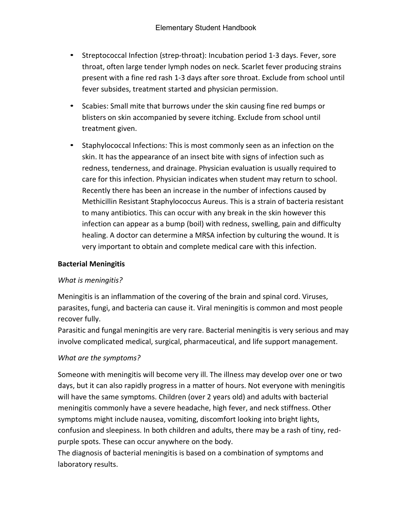- Streptococcal Infection (strep-throat): Incubation period 1-3 days. Fever, sore throat, often large tender lymph nodes on neck. Scarlet fever producing strains present with a fine red rash 1-3 days after sore throat. Exclude from school until fever subsides, treatment started and physician permission.
- Scabies: Small mite that burrows under the skin causing fine red bumps or blisters on skin accompanied by severe itching. Exclude from school until treatment given.
- Staphylococcal Infections: This is most commonly seen as an infection on the skin. It has the appearance of an insect bite with signs of infection such as redness, tenderness, and drainage. Physician evaluation is usually required to care for this infection. Physician indicates when student may return to school. Recently there has been an increase in the number of infections caused by Methicillin Resistant Staphylococcus Aureus. This is a strain of bacteria resistant to many antibiotics. This can occur with any break in the skin however this infection can appear as a bump (boil) with redness, swelling, pain and difficulty healing. A doctor can determine a MRSA infection by culturing the wound. It is very important to obtain and complete medical care with this infection.

#### **Bacterial Meningitis**

#### *What is meningitis?*

Meningitis is an inflammation of the covering of the brain and spinal cord. Viruses, parasites, fungi, and bacteria can cause it. Viral meningitis is common and most people recover fully.

Parasitic and fungal meningitis are very rare. Bacterial meningitis is very serious and may involve complicated medical, surgical, pharmaceutical, and life support management.

#### *What are the symptoms?*

Someone with meningitis will become very ill. The illness may develop over one or two days, but it can also rapidly progress in a matter of hours. Not everyone with meningitis will have the same symptoms. Children (over 2 years old) and adults with bacterial meningitis commonly have a severe headache, high fever, and neck stiffness. Other symptoms might include nausea, vomiting, discomfort looking into bright lights, confusion and sleepiness. In both children and adults, there may be a rash of tiny, redpurple spots. These can occur anywhere on the body.

The diagnosis of bacterial meningitis is based on a combination of symptoms and laboratory results.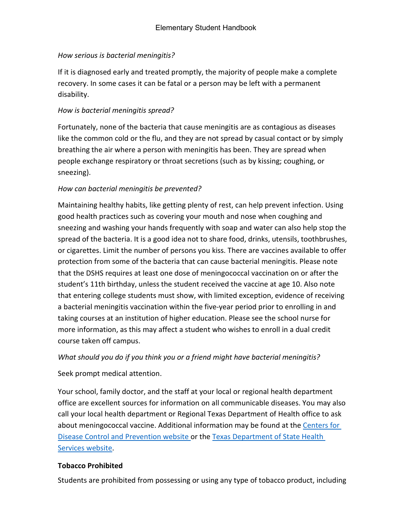# *How serious is bacterial meningitis?*

If it is diagnosed early and treated promptly, the majority of people make a complete recovery. In some cases it can be fatal or a person may be left with a permanent disability.

### *How is bacterial meningitis spread?*

Fortunately, none of the bacteria that cause meningitis are as contagious as diseases like the common cold or the flu, and they are not spread by casual contact or by simply breathing the air where a person with meningitis has been. They are spread when people exchange respiratory or throat secretions (such as by kissing; coughing, or sneezing).

### *How can bacterial meningitis be prevented?*

Maintaining healthy habits, like getting plenty of rest, can help prevent infection. Using good health practices such as covering your mouth and nose when coughing and sneezing and washing your hands frequently with soap and water can also help stop the spread of the bacteria. It is a good idea not to share food, drinks, utensils, toothbrushes, or cigarettes. Limit the number of persons you kiss. There are vaccines available to offer protection from some of the bacteria that can cause bacterial meningitis. Please note that the DSHS requires at least one dose of meningococcal vaccination on or after the student's 11th birthday, unless the student received the vaccine at age 10. Also note that entering college students must show, with limited exception, evidence of receiving a bacterial meningitis vaccination within the five-year period prior to enrolling in and taking courses at an institution of higher education. Please see the school nurse for more information, as this may affect a student who wishes to enroll in a dual credit course taken off campus.

#### *What should you do if you think you or a friend might have bacterial meningitis?*

Seek prompt medical attention.

Your school, family doctor, and the staff at your local or regional health department office are excellent sources for information on all communicable diseases. You may also call your local health department or Regional Texas Department of Health office to ask about meningococcal vaccine. Additional information may be found at the [Centers for](http://www.cdc.gov/)  [Disease Control](http://www.cdc.gov/) [and Prevention website o](http://www.cdc.gov/)r the [Texas Department of State Health](http://www.dshs.texas.gov/)  [Services website.](http://www.dshs.texas.gov/)

#### **Tobacco Prohibited**

Students are prohibited from possessing or using any type of tobacco product, including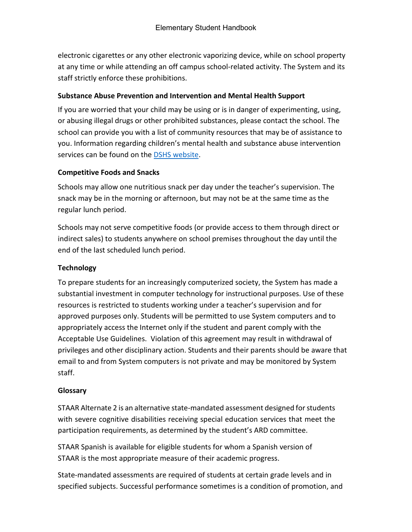electronic cigarettes or any other electronic vaporizing device, while on school property at any time or while attending an off campus school-related activity. The System and its staff strictly enforce these prohibitions.

#### **Substance Abuse Prevention and Intervention and Mental Health Support**

If you are worried that your child may be using or is in danger of experimenting, using, or abusing illegal drugs or other prohibited substances, please contact the school. The school can provide you with a list of community resources that may be of assistance to you. Information regarding children's mental health and substance abuse intervention services can be found on the DSHS website.

#### **Competitive Foods and Snacks**

Schools may allow one nutritious snack per day under the teacher's supervision. The snack may be in the morning or afternoon, but may not be at the same time as the regular lunch period.

Schools may not serve competitive foods (or provide access to them through direct or indirect sales) to students anywhere on school premises throughout the day until the end of the last scheduled lunch period.

#### **Technology**

To prepare students for an increasingly computerized society, the System has made a substantial investment in computer technology for instructional purposes. Use of these resources is restricted to students working under a teacher's supervision and for approved purposes only. Students will be permitted to use System computers and to appropriately access the Internet only if the student and parent comply with the Acceptable Use Guidelines. Violation of this agreement may result in withdrawal of privileges and other disciplinary action. Students and their parents should be aware that email to and from System computers is not private and may be monitored by System staff.

#### **Glossary**

STAAR Alternate 2 is an alternative state-mandated assessment designed for students with severe cognitive disabilities receiving special education services that meet the participation requirements, as determined by the student's ARD committee.

STAAR Spanish is available for eligible students for whom a Spanish version of STAAR is the most appropriate measure of their academic progress.

State-mandated assessments are required of students at certain grade levels and in specified subjects. Successful performance sometimes is a condition of promotion, and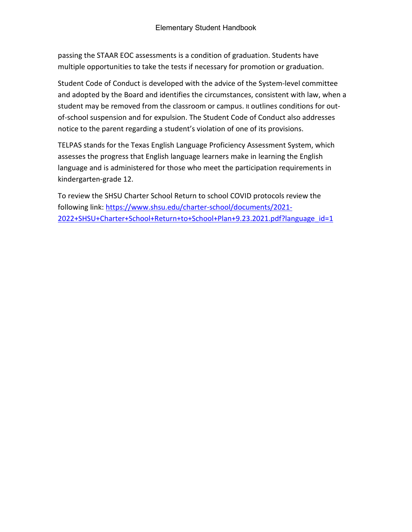passing the STAAR EOC assessments is a condition of graduation. Students have multiple opportunities to take the tests if necessary for promotion or graduation.

Student Code of Conduct is developed with the advice of the System-level committee and adopted by the Board and identifies the circumstances, consistent with law, when a student may be removed from the classroom or campus. It outlines conditions for outof-school suspension and for expulsion. The Student Code of Conduct also addresses notice to the parent regarding a student's violation of one of its provisions.

TELPAS stands for the Texas English Language Proficiency Assessment System, which assesses the progress that English language learners make in learning the English language and is administered for those who meet the participation requirements in kindergarten-grade 12.

To review the SHSU Charter School Return to school COVID protocols review the following link: [https://www.shsu.edu/charter-school/documents/2021-](https://www.shsu.edu/charter-school/documents/2021-2022+SHSU+Charter+School+Return+to+School+Plan+9.23.2021.pdf?language_id=1) [2022+SHSU+Charter+School+Return+to+School+Plan+9.23.2021.pdf?language\\_id=1](https://www.shsu.edu/charter-school/documents/2021-2022+SHSU+Charter+School+Return+to+School+Plan+9.23.2021.pdf?language_id=1)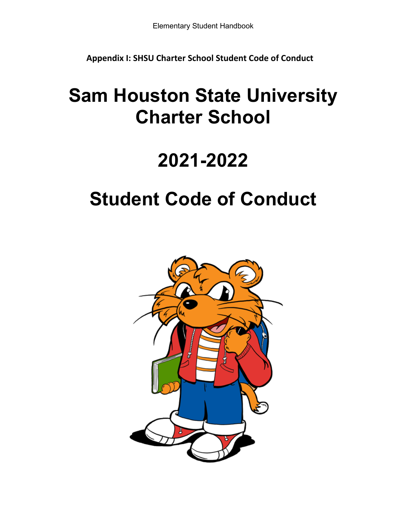**Appendix I: SHSU Charter School Student Code of Conduct**

# **Sam Houston State University Charter School**

# **2021-2022**

# **Student Code of Conduct**

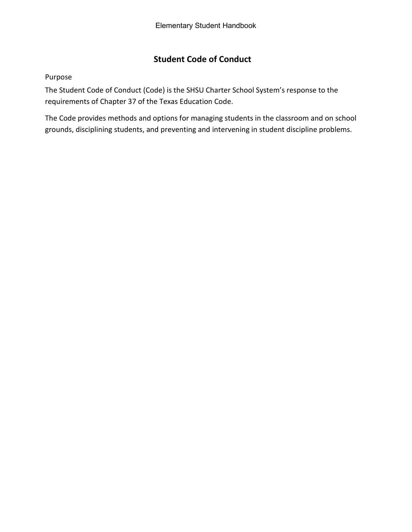# **Student Code of Conduct**

#### Purpose

The Student Code of Conduct (Code) is the SHSU Charter School System's response to the requirements of Chapter 37 of the Texas Education Code.

The Code provides methods and options for managing students in the classroom and on school grounds, disciplining students, and preventing and intervening in student discipline problems.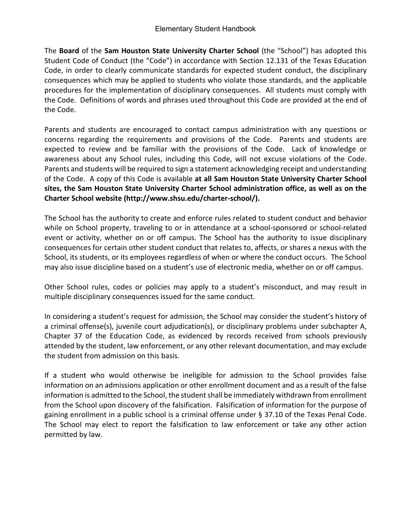The **Board** of the **Sam Houston State University Charter School** (the "School") has adopted this Student Code of Conduct (the "Code") in accordance with Section 12.131 of the Texas Education Code, in order to clearly communicate standards for expected student conduct, the disciplinary consequences which may be applied to students who violate those standards, and the applicable procedures for the implementation of disciplinary consequences. All students must comply with the Code. Definitions of words and phrases used throughout this Code are provided at the end of the Code.

Parents and students are encouraged to contact campus administration with any questions or concerns regarding the requirements and provisions of the Code. Parents and students are expected to review and be familiar with the provisions of the Code. Lack of knowledge or awareness about any School rules, including this Code, will not excuse violations of the Code. Parents and students will be required to sign a statement acknowledging receipt and understanding of the Code. A copy of this Code is available **at all Sam Houston State University Charter School sites, the Sam Houston State University Charter School administration office, as well as on the Charter School website (http://www.shsu.edu/charter-school/).**

The School has the authority to create and enforce rules related to student conduct and behavior while on School property, traveling to or in attendance at a school-sponsored or school-related event or activity, whether on or off campus. The School has the authority to issue disciplinary consequences for certain other student conduct that relates to, affects, or shares a nexus with the School, its students, or its employees regardless of when or where the conduct occurs. The School may also issue discipline based on a student's use of electronic media, whether on or off campus.

Other School rules, codes or policies may apply to a student's misconduct, and may result in multiple disciplinary consequences issued for the same conduct.

In considering a student's request for admission, the School may consider the student's history of a criminal offense(s), juvenile court adjudication(s), or disciplinary problems under subchapter A, Chapter 37 of the Education Code, as evidenced by records received from schools previously attended by the student, law enforcement, or any other relevant documentation, and may exclude the student from admission on this basis.

If a student who would otherwise be ineligible for admission to the School provides false information on an admissions application or other enrollment document and as a result of the false information is admitted to the School, the student shall be immediately withdrawn from enrollment from the School upon discovery of the falsification. Falsification of information for the purpose of gaining enrollment in a public school is a criminal offense under § 37.10 of the Texas Penal Code. The School may elect to report the falsification to law enforcement or take any other action permitted by law.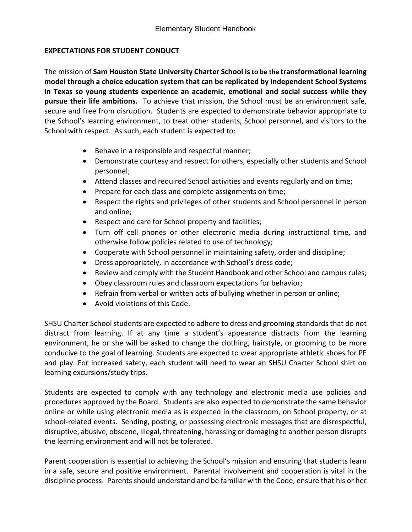#### **EXPECTATIONS FOR STUDENT CONDUCT**

The mission of **Sam Houston State University Charter School is to be the transformational learning model through a choice education system that can be replicated by Independent School Systems in Texas so young students experience an academic, emotional and social success while they pursue their life ambitions.** To achieve that mission, the School must be an environment safe, secure and free from disruption. Students are expected to demonstrate behavior appropriate to the School's learning environment, to treat other students, School personnel, and visitors to the School with respect. As such, each student is expected to:

- Behave in a responsible and respectful manner;
- Demonstrate courtesy and respect for others, especially other students and School personnel;
- Attend classes and required School activities and events regularly and on time;
- Prepare for each class and complete assignments on time;
- Respect the rights and privileges of other students and School personnel in person and online;
- Respect and care for School property and facilities;
- Turn off cell phones or other electronic media during instructional time, and otherwise follow policies related to use of technology;
- Cooperate with School personnel in maintaining safety, order and discipline;
- Dress appropriately, in accordance with School's dress code;
- Review and comply with the Student Handbook and other School and campus rules;
- Obey classroom rules and classroom expectations for behavior;
- Refrain from verbal or written acts of bullying whether in person or online;
- Avoid violations of this Code.

SHSU Charter School students are expected to adhere to dress and grooming standards that do not distract from learning. If at any time a student's appearance distracts from the learning environment, he or she will be asked to change the clothing, hairstyle, or grooming to be more conducive to the goal of learning. Students are expected to wear appropriate athletic shoes for PE and play. For increased safety, each student will need to wear an SHSU Charter School shirt on learning excursions/study trips.

Students are expected to comply with any technology and electronic media use policies and procedures approved by the Board. Students are also expected to demonstrate the same behavior online or while using electronic media as is expected in the classroom, on School property, or at school-related events. Sending, posting, or possessing electronic messages that are disrespectful, disruptive, abusive, obscene, illegal, threatening, harassing or damaging to another person disrupts the learning environment and will not be tolerated.

Parent cooperation is essential to achieving the School's mission and ensuring that students learn in a safe, secure and positive environment. Parental involvement and cooperation is vital in the discipline process. Parents should understand and be familiar with the Code, ensure that his or her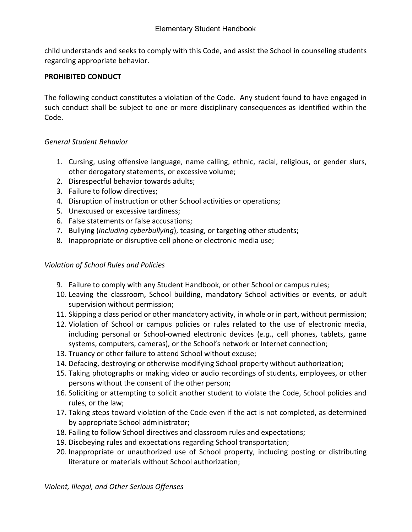child understands and seeks to comply with this Code, and assist the School in counseling students regarding appropriate behavior.

#### **PROHIBITED CONDUCT**

The following conduct constitutes a violation of the Code. Any student found to have engaged in such conduct shall be subject to one or more disciplinary consequences as identified within the Code.

### *General Student Behavior*

- 1. Cursing, using offensive language, name calling, ethnic, racial, religious, or gender slurs, other derogatory statements, or excessive volume;
- 2. Disrespectful behavior towards adults;
- 3. Failure to follow directives;
- 4. Disruption of instruction or other School activities or operations;
- 5. Unexcused or excessive tardiness;
- 6. False statements or false accusations;
- 7. Bullying (*including cyberbullying*), teasing, or targeting other students;
- 8. Inappropriate or disruptive cell phone or electronic media use;

#### *Violation of School Rules and Policies*

- 9. Failure to comply with any Student Handbook, or other School or campus rules;
- 10. Leaving the classroom, School building, mandatory School activities or events, or adult supervision without permission;
- 11. Skipping a class period or other mandatory activity, in whole or in part, without permission;
- 12. Violation of School or campus policies or rules related to the use of electronic media, including personal or School-owned electronic devices (*e.g.*, cell phones, tablets, game systems, computers, cameras), or the School's network or Internet connection;
- 13. Truancy or other failure to attend School without excuse;
- 14. Defacing, destroying or otherwise modifying School property without authorization;
- 15. Taking photographs or making video or audio recordings of students, employees, or other persons without the consent of the other person;
- 16. Soliciting or attempting to solicit another student to violate the Code, School policies and rules, or the law;
- 17. Taking steps toward violation of the Code even if the act is not completed, as determined by appropriate School administrator;
- 18. Failing to follow School directives and classroom rules and expectations;
- 19. Disobeying rules and expectations regarding School transportation;
- 20. Inappropriate or unauthorized use of School property, including posting or distributing literature or materials without School authorization;

*Violent, Illegal, and Other Serious Offenses*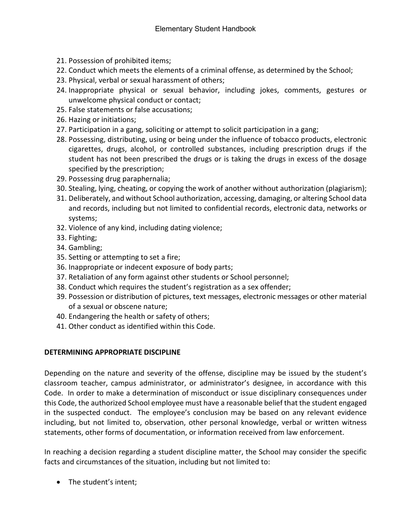- 21. Possession of prohibited items;
- 22. Conduct which meets the elements of a criminal offense, as determined by the School;
- 23. Physical, verbal or sexual harassment of others;
- 24. Inappropriate physical or sexual behavior, including jokes, comments, gestures or unwelcome physical conduct or contact;
- 25. False statements or false accusations;
- 26. Hazing or initiations;
- 27. Participation in a gang, soliciting or attempt to solicit participation in a gang;
- 28. Possessing, distributing, using or being under the influence of tobacco products, electronic cigarettes, drugs, alcohol, or controlled substances, including prescription drugs if the student has not been prescribed the drugs or is taking the drugs in excess of the dosage specified by the prescription;
- 29. Possessing drug paraphernalia;
- 30. Stealing, lying, cheating, or copying the work of another without authorization (plagiarism);
- 31. Deliberately, and without School authorization, accessing, damaging, or altering School data and records, including but not limited to confidential records, electronic data, networks or systems;
- 32. Violence of any kind, including dating violence;
- 33. Fighting;
- 34. Gambling;
- 35. Setting or attempting to set a fire;
- 36. Inappropriate or indecent exposure of body parts;
- 37. Retaliation of any form against other students or School personnel;
- 38. Conduct which requires the student's registration as a sex offender;
- 39. Possession or distribution of pictures, text messages, electronic messages or other material of a sexual or obscene nature;
- 40. Endangering the health or safety of others;
- 41. Other conduct as identified within this Code.

#### **DETERMINING APPROPRIATE DISCIPLINE**

Depending on the nature and severity of the offense, discipline may be issued by the student's classroom teacher, campus administrator, or administrator's designee, in accordance with this Code. In order to make a determination of misconduct or issue disciplinary consequences under this Code, the authorized School employee must have a reasonable belief that the student engaged in the suspected conduct. The employee's conclusion may be based on any relevant evidence including, but not limited to, observation, other personal knowledge, verbal or written witness statements, other forms of documentation, or information received from law enforcement.

In reaching a decision regarding a student discipline matter, the School may consider the specific facts and circumstances of the situation, including but not limited to:

• The student's intent;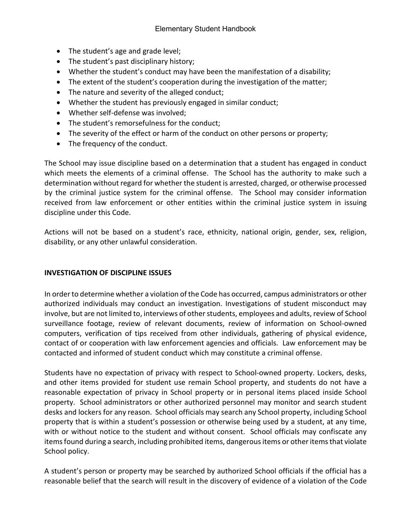- The student's age and grade level;
- The student's past disciplinary history;
- Whether the student's conduct may have been the manifestation of a disability;
- The extent of the student's cooperation during the investigation of the matter;
- The nature and severity of the alleged conduct;
- Whether the student has previously engaged in similar conduct;
- Whether self-defense was involved;
- The student's remorsefulness for the conduct;
- The severity of the effect or harm of the conduct on other persons or property;
- The frequency of the conduct.

The School may issue discipline based on a determination that a student has engaged in conduct which meets the elements of a criminal offense. The School has the authority to make such a determination without regard for whether the student is arrested, charged, or otherwise processed by the criminal justice system for the criminal offense. The School may consider information received from law enforcement or other entities within the criminal justice system in issuing discipline under this Code.

Actions will not be based on a student's race, ethnicity, national origin, gender, sex, religion, disability, or any other unlawful consideration.

#### **INVESTIGATION OF DISCIPLINE ISSUES**

In order to determine whether a violation of the Code has occurred, campus administrators or other authorized individuals may conduct an investigation. Investigations of student misconduct may involve, but are not limited to, interviews of other students, employees and adults, review of School surveillance footage, review of relevant documents, review of information on School-owned computers, verification of tips received from other individuals, gathering of physical evidence, contact of or cooperation with law enforcement agencies and officials. Law enforcement may be contacted and informed of student conduct which may constitute a criminal offense.

Students have no expectation of privacy with respect to School-owned property. Lockers, desks, and other items provided for student use remain School property, and students do not have a reasonable expectation of privacy in School property or in personal items placed inside School property. School administrators or other authorized personnel may monitor and search student desks and lockers for any reason. School officials may search any School property, including School property that is within a student's possession or otherwise being used by a student, at any time, with or without notice to the student and without consent. School officials may confiscate any items found during a search, including prohibited items, dangerous items or other items that violate School policy.

A student's person or property may be searched by authorized School officials if the official has a reasonable belief that the search will result in the discovery of evidence of a violation of the Code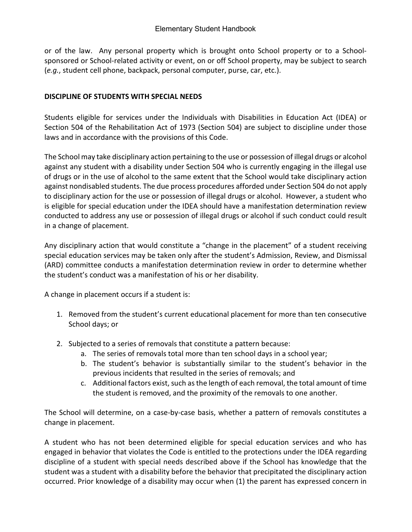or of the law. Any personal property which is brought onto School property or to a Schoolsponsored or School-related activity or event, on or off School property, may be subject to search (*e.g.*, student cell phone, backpack, personal computer, purse, car, etc.).

#### **DISCIPLINE OF STUDENTS WITH SPECIAL NEEDS**

Students eligible for services under the Individuals with Disabilities in Education Act (IDEA) or Section 504 of the Rehabilitation Act of 1973 (Section 504) are subject to discipline under those laws and in accordance with the provisions of this Code.

The School may take disciplinary action pertaining to the use or possession of illegal drugs or alcohol against any student with a disability under Section 504 who is currently engaging in the illegal use of drugs or in the use of alcohol to the same extent that the School would take disciplinary action against nondisabled students. The due process procedures afforded under Section 504 do not apply to disciplinary action for the use or possession of illegal drugs or alcohol. However, a student who is eligible for special education under the IDEA should have a manifestation determination review conducted to address any use or possession of illegal drugs or alcohol if such conduct could result in a change of placement.

Any disciplinary action that would constitute a "change in the placement" of a student receiving special education services may be taken only after the student's Admission, Review, and Dismissal (ARD) committee conducts a manifestation determination review in order to determine whether the student's conduct was a manifestation of his or her disability.

A change in placement occurs if a student is:

- 1. Removed from the student's current educational placement for more than ten consecutive School days; or
- 2. Subjected to a series of removals that constitute a pattern because:
	- a. The series of removals total more than ten school days in a school year;
	- b. The student's behavior is substantially similar to the student's behavior in the previous incidents that resulted in the series of removals; and
	- c. Additional factors exist, such as the length of each removal, the total amount of time the student is removed, and the proximity of the removals to one another.

The School will determine, on a case-by-case basis, whether a pattern of removals constitutes a change in placement.

A student who has not been determined eligible for special education services and who has engaged in behavior that violates the Code is entitled to the protections under the IDEA regarding discipline of a student with special needs described above if the School has knowledge that the student was a student with a disability before the behavior that precipitated the disciplinary action occurred. Prior knowledge of a disability may occur when (1) the parent has expressed concern in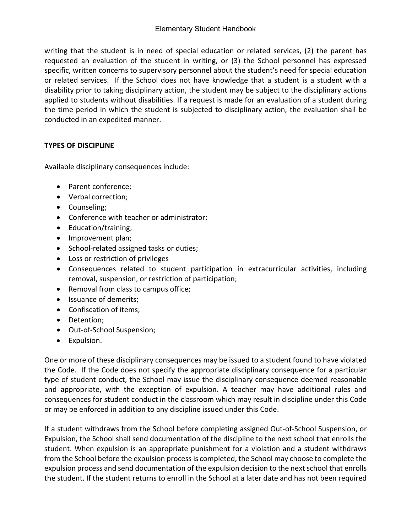writing that the student is in need of special education or related services, (2) the parent has requested an evaluation of the student in writing, or (3) the School personnel has expressed specific, written concerns to supervisory personnel about the student's need for special education or related services. If the School does not have knowledge that a student is a student with a disability prior to taking disciplinary action, the student may be subject to the disciplinary actions applied to students without disabilities. If a request is made for an evaluation of a student during the time period in which the student is subjected to disciplinary action, the evaluation shall be conducted in an expedited manner.

# **TYPES OF DISCIPLINE**

Available disciplinary consequences include:

- Parent conference;
- Verbal correction;
- Counseling;
- Conference with teacher or administrator;
- Education/training;
- Improvement plan;
- School-related assigned tasks or duties;
- Loss or restriction of privileges
- Consequences related to student participation in extracurricular activities, including removal, suspension, or restriction of participation;
- Removal from class to campus office;
- Issuance of demerits;
- Confiscation of items;
- Detention;
- Out-of-School Suspension;
- Expulsion.

One or more of these disciplinary consequences may be issued to a student found to have violated the Code. If the Code does not specify the appropriate disciplinary consequence for a particular type of student conduct, the School may issue the disciplinary consequence deemed reasonable and appropriate, with the exception of expulsion. A teacher may have additional rules and consequences for student conduct in the classroom which may result in discipline under this Code or may be enforced in addition to any discipline issued under this Code.

If a student withdraws from the School before completing assigned Out-of-School Suspension, or Expulsion, the School shall send documentation of the discipline to the next school that enrolls the student. When expulsion is an appropriate punishment for a violation and a student withdraws from the School before the expulsion process is completed, the School may choose to complete the expulsion process and send documentation of the expulsion decision to the next school that enrolls the student. If the student returns to enroll in the School at a later date and has not been required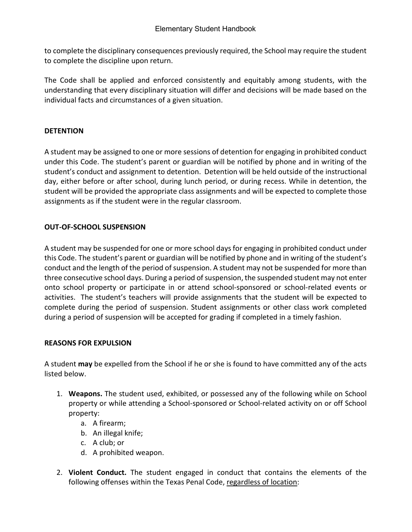to complete the disciplinary consequences previously required, the School may require the student to complete the discipline upon return.

The Code shall be applied and enforced consistently and equitably among students, with the understanding that every disciplinary situation will differ and decisions will be made based on the individual facts and circumstances of a given situation.

### **DETENTION**

A student may be assigned to one or more sessions of detention for engaging in prohibited conduct under this Code. The student's parent or guardian will be notified by phone and in writing of the student's conduct and assignment to detention. Detention will be held outside of the instructional day, either before or after school, during lunch period, or during recess. While in detention, the student will be provided the appropriate class assignments and will be expected to complete those assignments as if the student were in the regular classroom.

### **OUT-OF-SCHOOL SUSPENSION**

A student may be suspended for one or more school days for engaging in prohibited conduct under this Code. The student's parent or guardian will be notified by phone and in writing of the student's conduct and the length of the period of suspension. A student may not be suspended for more than three consecutive school days. During a period of suspension, the suspended student may not enter onto school property or participate in or attend school-sponsored or school-related events or activities. The student's teachers will provide assignments that the student will be expected to complete during the period of suspension. Student assignments or other class work completed during a period of suspension will be accepted for grading if completed in a timely fashion.

#### **REASONS FOR EXPULSION**

A student **may** be expelled from the School if he or she is found to have committed any of the acts listed below.

- 1. **Weapons.** The student used, exhibited, or possessed any of the following while on School property or while attending a School-sponsored or School-related activity on or off School property:
	- a. A firearm;
	- b. An illegal knife;
	- c. A club; or
	- d. A prohibited weapon.
- 2. **Violent Conduct.** The student engaged in conduct that contains the elements of the following offenses within the Texas Penal Code, regardless of location: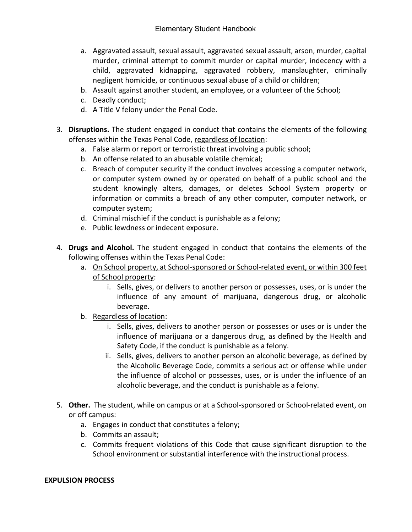- a. Aggravated assault, sexual assault, aggravated sexual assault, arson, murder, capital murder, criminal attempt to commit murder or capital murder, indecency with a child, aggravated kidnapping, aggravated robbery, manslaughter, criminally negligent homicide, or continuous sexual abuse of a child or children;
- b. Assault against another student, an employee, or a volunteer of the School;
- c. Deadly conduct;
- d. A Title V felony under the Penal Code.
- 3. **Disruptions.** The student engaged in conduct that contains the elements of the following offenses within the Texas Penal Code, regardless of location:
	- a. False alarm or report or terroristic threat involving a public school;
	- b. An offense related to an abusable volatile chemical;
	- c. Breach of computer security if the conduct involves accessing a computer network, or computer system owned by or operated on behalf of a public school and the student knowingly alters, damages, or deletes School System property or information or commits a breach of any other computer, computer network, or computer system;
	- d. Criminal mischief if the conduct is punishable as a felony;
	- e. Public lewdness or indecent exposure.
- 4. **Drugs and Alcohol.** The student engaged in conduct that contains the elements of the following offenses within the Texas Penal Code:
	- a. On School property, at School-sponsored or School-related event, or within 300 feet of School property:
		- i. Sells, gives, or delivers to another person or possesses, uses, or is under the influence of any amount of marijuana, dangerous drug, or alcoholic beverage.
	- b. Regardless of location:
		- i. Sells, gives, delivers to another person or possesses or uses or is under the influence of marijuana or a dangerous drug, as defined by the Health and Safety Code, if the conduct is punishable as a felony.
		- ii. Sells, gives, delivers to another person an alcoholic beverage, as defined by the Alcoholic Beverage Code, commits a serious act or offense while under the influence of alcohol or possesses, uses, or is under the influence of an alcoholic beverage, and the conduct is punishable as a felony.
- 5. **Other.** The student, while on campus or at a School-sponsored or School-related event, on or off campus:
	- a. Engages in conduct that constitutes a felony;
	- b. Commits an assault;
	- c. Commits frequent violations of this Code that cause significant disruption to the School environment or substantial interference with the instructional process.

#### **EXPULSION PROCESS**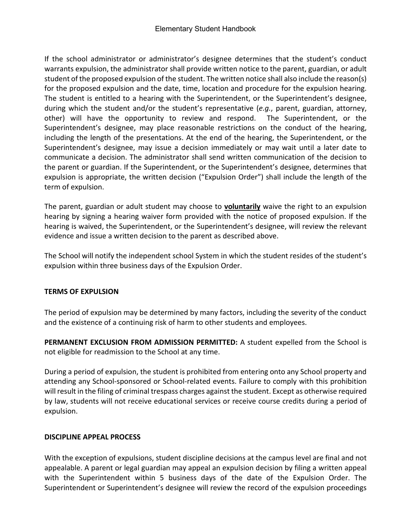If the school administrator or administrator's designee determines that the student's conduct warrants expulsion, the administrator shall provide written notice to the parent, guardian, or adult student of the proposed expulsion of the student. The written notice shall also include the reason(s) for the proposed expulsion and the date, time, location and procedure for the expulsion hearing. The student is entitled to a hearing with the Superintendent, or the Superintendent's designee, during which the student and/or the student's representative (*e.g.*, parent, guardian, attorney, other) will have the opportunity to review and respond. The Superintendent, or the Superintendent's designee, may place reasonable restrictions on the conduct of the hearing, including the length of the presentations. At the end of the hearing, the Superintendent, or the Superintendent's designee, may issue a decision immediately or may wait until a later date to communicate a decision. The administrator shall send written communication of the decision to the parent or guardian. If the Superintendent, or the Superintendent's designee, determines that expulsion is appropriate, the written decision ("Expulsion Order") shall include the length of the term of expulsion.

The parent, guardian or adult student may choose to **voluntarily** waive the right to an expulsion hearing by signing a hearing waiver form provided with the notice of proposed expulsion. If the hearing is waived, the Superintendent, or the Superintendent's designee, will review the relevant evidence and issue a written decision to the parent as described above.

The School will notify the independent school System in which the student resides of the student's expulsion within three business days of the Expulsion Order.

# **TERMS OF EXPULSION**

The period of expulsion may be determined by many factors, including the severity of the conduct and the existence of a continuing risk of harm to other students and employees.

**PERMANENT EXCLUSION FROM ADMISSION PERMITTED:** A student expelled from the School is not eligible for readmission to the School at any time.

During a period of expulsion, the student is prohibited from entering onto any School property and attending any School-sponsored or School-related events. Failure to comply with this prohibition will result in the filing of criminal trespass charges against the student. Except as otherwise required by law, students will not receive educational services or receive course credits during a period of expulsion.

#### **DISCIPLINE APPEAL PROCESS**

With the exception of expulsions, student discipline decisions at the campus level are final and not appealable. A parent or legal guardian may appeal an expulsion decision by filing a written appeal with the Superintendent within 5 business days of the date of the Expulsion Order. The Superintendent or Superintendent's designee will review the record of the expulsion proceedings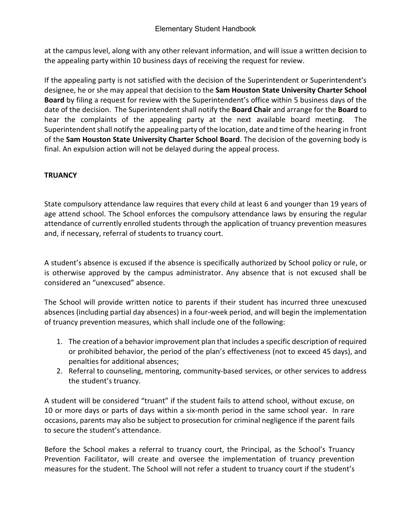at the campus level, along with any other relevant information, and will issue a written decision to the appealing party within 10 business days of receiving the request for review.

If the appealing party is not satisfied with the decision of the Superintendent or Superintendent's designee, he or she may appeal that decision to the **Sam Houston State University Charter School Board** by filing a request for review with the Superintendent's office within 5 business days of the date of the decision. The Superintendent shall notify the **Board Chair** and arrange for the **Board** to hear the complaints of the appealing party at the next available board meeting. The Superintendent shall notify the appealing party of the location, date and time of the hearing in front of the **Sam Houston State University Charter School Board**. The decision of the governing body is final. An expulsion action will not be delayed during the appeal process.

### **TRUANCY**

State compulsory attendance law requires that every child at least 6 and younger than 19 years of age attend school. The School enforces the compulsory attendance laws by ensuring the regular attendance of currently enrolled students through the application of truancy prevention measures and, if necessary, referral of students to truancy court.

A student's absence is excused if the absence is specifically authorized by School policy or rule, or is otherwise approved by the campus administrator. Any absence that is not excused shall be considered an "unexcused" absence.

The School will provide written notice to parents if their student has incurred three unexcused absences (including partial day absences) in a four-week period, and will begin the implementation of truancy prevention measures, which shall include one of the following:

- 1. The creation of a behavior improvement plan that includes a specific description of required or prohibited behavior, the period of the plan's effectiveness (not to exceed 45 days), and penalties for additional absences;
- 2. Referral to counseling, mentoring, community-based services, or other services to address the student's truancy.

A student will be considered "truant" if the student fails to attend school, without excuse, on 10 or more days or parts of days within a six-month period in the same school year. In rare occasions, parents may also be subject to prosecution for criminal negligence if the parent fails to secure the student's attendance.

Before the School makes a referral to truancy court, the Principal, as the School's Truancy Prevention Facilitator, will create and oversee the implementation of truancy prevention measures for the student. The School will not refer a student to truancy court if the student's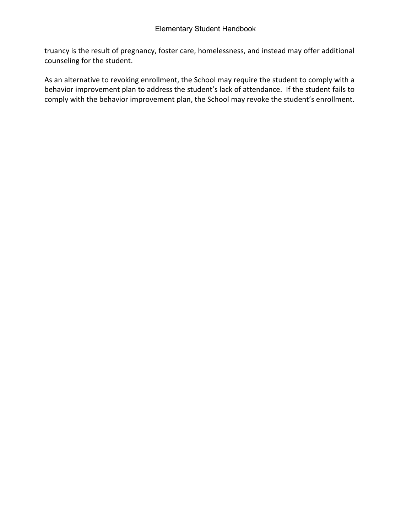truancy is the result of pregnancy, foster care, homelessness, and instead may offer additional counseling for the student.

As an alternative to revoking enrollment, the School may require the student to comply with a behavior improvement plan to address the student's lack of attendance. If the student fails to comply with the behavior improvement plan, the School may revoke the student's enrollment.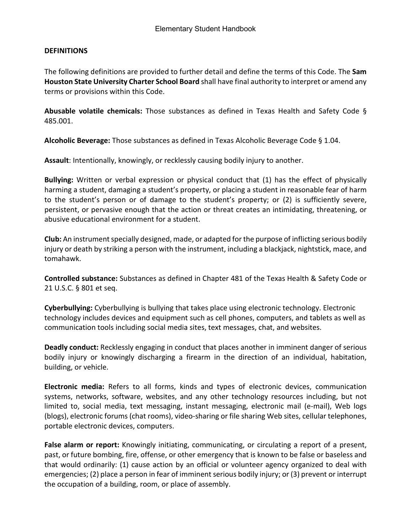#### **DEFINITIONS**

The following definitions are provided to further detail and define the terms of this Code. The **Sam Houston State University Charter School Board** shall have final authority to interpret or amend any terms or provisions within this Code.

**Abusable volatile chemicals:** Those substances as defined in Texas Health and Safety Code § 485.001.

**Alcoholic Beverage:** Those substances as defined in Texas Alcoholic Beverage Code § 1.04.

**Assault**: Intentionally, knowingly, or recklessly causing bodily injury to another.

**Bullying:** Written or verbal expression or physical conduct that (1) has the effect of physically harming a student, damaging a student's property, or placing a student in reasonable fear of harm to the student's person or of damage to the student's property; or (2) is sufficiently severe, persistent, or pervasive enough that the action or threat creates an intimidating, threatening, or abusive educational environment for a student.

**Club:** An instrument specially designed, made, or adapted for the purpose of inflicting serious bodily injury or death by striking a person with the instrument, including a blackjack, nightstick, mace, and tomahawk.

**Controlled substance:** Substances as defined in Chapter 481 of the Texas Health & Safety Code or 21 U.S.C. § 801 et seq.

**Cyberbullying:** Cyberbullying is bullying that takes place using electronic technology. Electronic technology includes devices and equipment such as cell phones, computers, and tablets as well as communication tools including social media sites, text messages, chat, and websites.

**Deadly conduct:** Recklessly engaging in conduct that places another in imminent danger of serious bodily injury or knowingly discharging a firearm in the direction of an individual, habitation, building, or vehicle.

**Electronic media:** Refers to all forms, kinds and types of electronic devices, communication systems, networks, software, websites, and any other technology resources including, but not limited to, social media, text messaging, instant messaging, electronic mail (e-mail), Web logs (blogs), electronic forums (chat rooms), video-sharing or file sharing Web sites, cellular telephones, portable electronic devices, computers.

**False alarm or report:** Knowingly initiating, communicating, or circulating a report of a present, past, or future bombing, fire, offense, or other emergency that is known to be false or baseless and that would ordinarily: (1) cause action by an official or volunteer agency organized to deal with emergencies; (2) place a person in fear of imminent serious bodily injury; or (3) prevent or interrupt the occupation of a building, room, or place of assembly.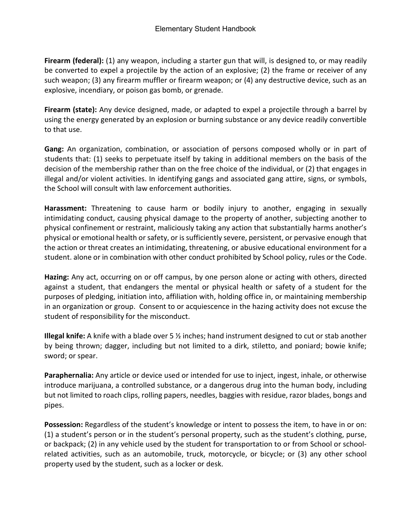**Firearm (federal):** (1) any weapon, including a starter gun that will, is designed to, or may readily be converted to expel a projectile by the action of an explosive; (2) the frame or receiver of any such weapon; (3) any firearm muffler or firearm weapon; or (4) any destructive device, such as an explosive, incendiary, or poison gas bomb, or grenade.

**Firearm (state):** Any device designed, made, or adapted to expel a projectile through a barrel by using the energy generated by an explosion or burning substance or any device readily convertible to that use.

**Gang:** An organization, combination, or association of persons composed wholly or in part of students that: (1) seeks to perpetuate itself by taking in additional members on the basis of the decision of the membership rather than on the free choice of the individual, or (2) that engages in illegal and/or violent activities. In identifying gangs and associated gang attire, signs, or symbols, the School will consult with law enforcement authorities.

**Harassment:** Threatening to cause harm or bodily injury to another, engaging in sexually intimidating conduct, causing physical damage to the property of another, subjecting another to physical confinement or restraint, maliciously taking any action that substantially harms another's physical or emotional health or safety, or is sufficiently severe, persistent, or pervasive enough that the action or threat creates an intimidating, threatening, or abusive educational environment for a student. alone or in combination with other conduct prohibited by School policy, rules or the Code.

**Hazing:** Any act, occurring on or off campus, by one person alone or acting with others, directed against a student, that endangers the mental or physical health or safety of a student for the purposes of pledging, initiation into, affiliation with, holding office in, or maintaining membership in an organization or group. Consent to or acquiescence in the hazing activity does not excuse the student of responsibility for the misconduct.

**Illegal knife:** A knife with a blade over 5 ½ inches; hand instrument designed to cut or stab another by being thrown; dagger, including but not limited to a dirk, stiletto, and poniard; bowie knife; sword; or spear.

**Paraphernalia:** Any article or device used or intended for use to inject, ingest, inhale, or otherwise introduce marijuana, a controlled substance, or a dangerous drug into the human body, including but not limited to roach clips, rolling papers, needles, baggies with residue, razor blades, bongs and pipes.

**Possession:** Regardless of the student's knowledge or intent to possess the item, to have in or on: (1) a student's person or in the student's personal property, such as the student's clothing, purse, or backpack; (2) in any vehicle used by the student for transportation to or from School or schoolrelated activities, such as an automobile, truck, motorcycle, or bicycle; or (3) any other school property used by the student, such as a locker or desk.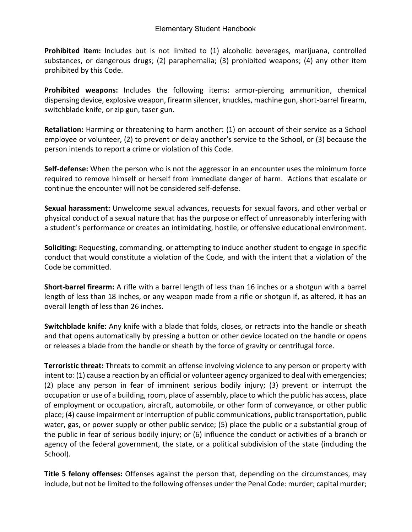**Prohibited item:** Includes but is not limited to (1) alcoholic beverages, marijuana, controlled substances, or dangerous drugs; (2) paraphernalia; (3) prohibited weapons; (4) any other item prohibited by this Code.

**Prohibited weapons:** Includes the following items: armor-piercing ammunition, chemical dispensing device, explosive weapon, firearm silencer, knuckles, machine gun, short-barrel firearm, switchblade knife, or zip gun, taser gun.

**Retaliation:** Harming or threatening to harm another: (1) on account of their service as a School employee or volunteer, (2) to prevent or delay another's service to the School, or (3) because the person intends to report a crime or violation of this Code.

**Self-defense:** When the person who is not the aggressor in an encounter uses the minimum force required to remove himself or herself from immediate danger of harm. Actions that escalate or continue the encounter will not be considered self-defense.

**Sexual harassment:** Unwelcome sexual advances, requests for sexual favors, and other verbal or physical conduct of a sexual nature that has the purpose or effect of unreasonably interfering with a student's performance or creates an intimidating, hostile, or offensive educational environment.

**Soliciting:** Requesting, commanding, or attempting to induce another student to engage in specific conduct that would constitute a violation of the Code, and with the intent that a violation of the Code be committed.

**Short-barrel firearm:** A rifle with a barrel length of less than 16 inches or a shotgun with a barrel length of less than 18 inches, or any weapon made from a rifle or shotgun if, as altered, it has an overall length of less than 26 inches.

**Switchblade knife:** Any knife with a blade that folds, closes, or retracts into the handle or sheath and that opens automatically by pressing a button or other device located on the handle or opens or releases a blade from the handle or sheath by the force of gravity or centrifugal force.

**Terroristic threat:** Threats to commit an offense involving violence to any person or property with intent to: (1) cause a reaction by an official or volunteer agency organized to deal with emergencies; (2) place any person in fear of imminent serious bodily injury; (3) prevent or interrupt the occupation or use of a building, room, place of assembly, place to which the public has access, place of employment or occupation, aircraft, automobile, or other form of conveyance, or other public place; (4) cause impairment or interruption of public communications, public transportation, public water, gas, or power supply or other public service; (5) place the public or a substantial group of the public in fear of serious bodily injury; or (6) influence the conduct or activities of a branch or agency of the federal government, the state, or a political subdivision of the state (including the School).

**Title 5 felony offenses:** Offenses against the person that, depending on the circumstances, may include, but not be limited to the following offenses under the Penal Code: murder; capital murder;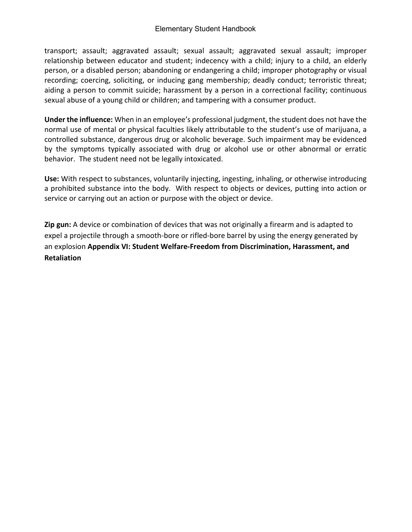transport; assault; aggravated assault; sexual assault; aggravated sexual assault; improper relationship between educator and student; indecency with a child; injury to a child, an elderly person, or a disabled person; abandoning or endangering a child; improper photography or visual recording; coercing, soliciting, or inducing gang membership; deadly conduct; terroristic threat; aiding a person to commit suicide; harassment by a person in a correctional facility; continuous sexual abuse of a young child or children; and tampering with a consumer product.

**Under the influence:** When in an employee's professional judgment, the student does not have the normal use of mental or physical faculties likely attributable to the student's use of marijuana, a controlled substance, dangerous drug or alcoholic beverage. Such impairment may be evidenced by the symptoms typically associated with drug or alcohol use or other abnormal or erratic behavior. The student need not be legally intoxicated.

**Use:** With respect to substances, voluntarily injecting, ingesting, inhaling, or otherwise introducing a prohibited substance into the body. With respect to objects or devices, putting into action or service or carrying out an action or purpose with the object or device.

**Zip gun:** A device or combination of devices that was not originally a firearm and is adapted to expel a projectile through a smooth-bore or rifled-bore barrel by using the energy generated by an explosion **Appendix VI: Student Welfare-Freedom from Discrimination, Harassment, and Retaliation**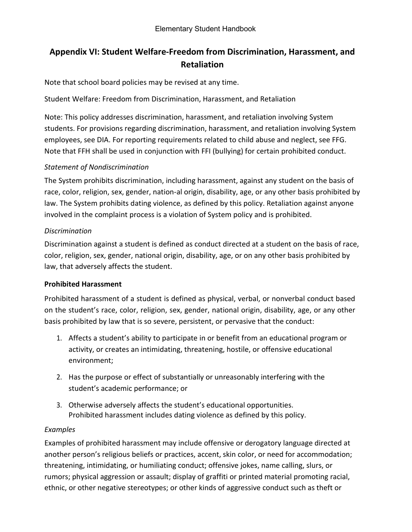# **Appendix VI: Student Welfare-Freedom from Discrimination, Harassment, and Retaliation**

Note that school board policies may be revised at any time.

Student Welfare: Freedom from Discrimination, Harassment, and Retaliation

Note: This policy addresses discrimination, harassment, and retaliation involving System students. For provisions regarding discrimination, harassment, and retaliation involving System employees, see DIA. For reporting requirements related to child abuse and neglect, see FFG. Note that FFH shall be used in conjunction with FFI (bullying) for certain prohibited conduct.

## *Statement of Nondiscrimination*

The System prohibits discrimination, including harassment, against any student on the basis of race, color, religion, sex, gender, nation-al origin, disability, age, or any other basis prohibited by law. The System prohibits dating violence, as defined by this policy. Retaliation against anyone involved in the complaint process is a violation of System policy and is prohibited.

## *Discrimination*

Discrimination against a student is defined as conduct directed at a student on the basis of race, color, religion, sex, gender, national origin, disability, age, or on any other basis prohibited by law, that adversely affects the student.

## **Prohibited Harassment**

Prohibited harassment of a student is defined as physical, verbal, or nonverbal conduct based on the student's race, color, religion, sex, gender, national origin, disability, age, or any other basis prohibited by law that is so severe, persistent, or pervasive that the conduct:

- 1. Affects a student's ability to participate in or benefit from an educational program or activity, or creates an intimidating, threatening, hostile, or offensive educational environment;
- 2. Has the purpose or effect of substantially or unreasonably interfering with the student's academic performance; or
- 3. Otherwise adversely affects the student's educational opportunities. Prohibited harassment includes dating violence as defined by this policy.

## *Examples*

Examples of prohibited harassment may include offensive or derogatory language directed at another person's religious beliefs or practices, accent, skin color, or need for accommodation; threatening, intimidating, or humiliating conduct; offensive jokes, name calling, slurs, or rumors; physical aggression or assault; display of graffiti or printed material promoting racial, ethnic, or other negative stereotypes; or other kinds of aggressive conduct such as theft or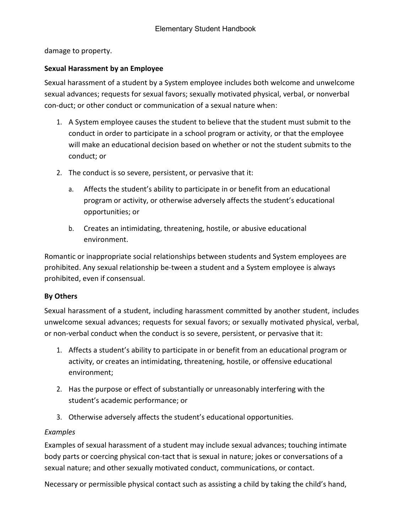damage to property.

### **Sexual Harassment by an Employee**

Sexual harassment of a student by a System employee includes both welcome and unwelcome sexual advances; requests for sexual favors; sexually motivated physical, verbal, or nonverbal con-duct; or other conduct or communication of a sexual nature when:

- 1. A System employee causes the student to believe that the student must submit to the conduct in order to participate in a school program or activity, or that the employee will make an educational decision based on whether or not the student submits to the conduct; or
- 2. The conduct is so severe, persistent, or pervasive that it:
	- a. Affects the student's ability to participate in or benefit from an educational program or activity, or otherwise adversely affects the student's educational opportunities; or
	- b. Creates an intimidating, threatening, hostile, or abusive educational environment.

Romantic or inappropriate social relationships between students and System employees are prohibited. Any sexual relationship be-tween a student and a System employee is always prohibited, even if consensual.

#### **By Others**

Sexual harassment of a student, including harassment committed by another student, includes unwelcome sexual advances; requests for sexual favors; or sexually motivated physical, verbal, or non-verbal conduct when the conduct is so severe, persistent, or pervasive that it:

- 1. Affects a student's ability to participate in or benefit from an educational program or activity, or creates an intimidating, threatening, hostile, or offensive educational environment;
- 2. Has the purpose or effect of substantially or unreasonably interfering with the student's academic performance; or
- 3. Otherwise adversely affects the student's educational opportunities.

## *Examples*

Examples of sexual harassment of a student may include sexual advances; touching intimate body parts or coercing physical con-tact that is sexual in nature; jokes or conversations of a sexual nature; and other sexually motivated conduct, communications, or contact.

Necessary or permissible physical contact such as assisting a child by taking the child's hand,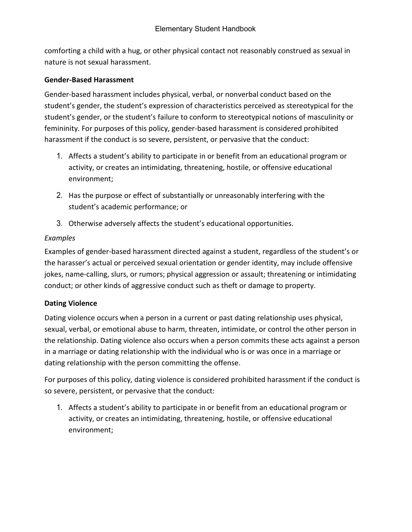comforting a child with a hug, or other physical contact not reasonably construed as sexual in nature is not sexual harassment.

### **Gender-Based Harassment**

Gender-based harassment includes physical, verbal, or nonverbal conduct based on the student's gender, the student's expression of characteristics perceived as stereotypical for the student's gender, or the student's failure to conform to stereotypical notions of masculinity or femininity. For purposes of this policy, gender-based harassment is considered prohibited harassment if the conduct is so severe, persistent, or pervasive that the conduct:

- 1. Affects a student's ability to participate in or benefit from an educational program or activity, or creates an intimidating, threatening, hostile, or offensive educational environment;
- 2. Has the purpose or effect of substantially or unreasonably interfering with the student's academic performance; or
- 3. Otherwise adversely affects the student's educational opportunities.

## *Examples*

Examples of gender-based harassment directed against a student, regardless of the student's or the harasser's actual or perceived sexual orientation or gender identity, may include offensive jokes, name-calling, slurs, or rumors; physical aggression or assault; threatening or intimidating conduct; or other kinds of aggressive conduct such as theft or damage to property.

## **Dating Violence**

Dating violence occurs when a person in a current or past dating relationship uses physical, sexual, verbal, or emotional abuse to harm, threaten, intimidate, or control the other person in the relationship. Dating violence also occurs when a person commits these acts against a person in a marriage or dating relationship with the individual who is or was once in a marriage or dating relationship with the person committing the offense.

For purposes of this policy, dating violence is considered prohibited harassment if the conduct is so severe, persistent, or pervasive that the conduct:

1. Affects a student's ability to participate in or benefit from an educational program or activity, or creates an intimidating, threatening, hostile, or offensive educational environment;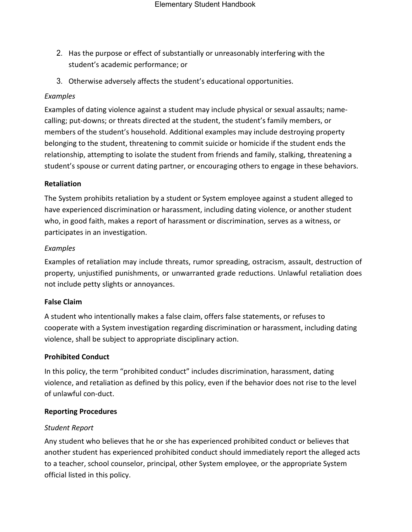- 2. Has the purpose or effect of substantially or unreasonably interfering with the student's academic performance; or
- 3. Otherwise adversely affects the student's educational opportunities.

### *Examples*

Examples of dating violence against a student may include physical or sexual assaults; namecalling; put-downs; or threats directed at the student, the student's family members, or members of the student's household. Additional examples may include destroying property belonging to the student, threatening to commit suicide or homicide if the student ends the relationship, attempting to isolate the student from friends and family, stalking, threatening a student's spouse or current dating partner, or encouraging others to engage in these behaviors.

#### **Retaliation**

The System prohibits retaliation by a student or System employee against a student alleged to have experienced discrimination or harassment, including dating violence, or another student who, in good faith, makes a report of harassment or discrimination, serves as a witness, or participates in an investigation.

#### *Examples*

Examples of retaliation may include threats, rumor spreading, ostracism, assault, destruction of property, unjustified punishments, or unwarranted grade reductions. Unlawful retaliation does not include petty slights or annoyances.

#### **False Claim**

A student who intentionally makes a false claim, offers false statements, or refuses to cooperate with a System investigation regarding discrimination or harassment, including dating violence, shall be subject to appropriate disciplinary action.

#### **Prohibited Conduct**

In this policy, the term "prohibited conduct" includes discrimination, harassment, dating violence, and retaliation as defined by this policy, even if the behavior does not rise to the level of unlawful con-duct.

#### **Reporting Procedures**

#### *Student Report*

Any student who believes that he or she has experienced prohibited conduct or believes that another student has experienced prohibited conduct should immediately report the alleged acts to a teacher, school counselor, principal, other System employee, or the appropriate System official listed in this policy.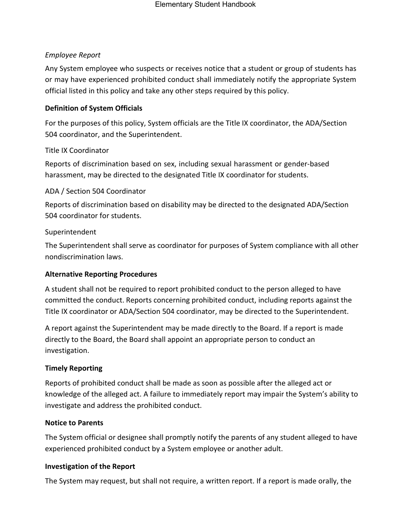## *Employee Report*

Any System employee who suspects or receives notice that a student or group of students has or may have experienced prohibited conduct shall immediately notify the appropriate System official listed in this policy and take any other steps required by this policy.

## **Definition of System Officials**

For the purposes of this policy, System officials are the Title IX coordinator, the ADA/Section 504 coordinator, and the Superintendent.

## Title IX Coordinator

Reports of discrimination based on sex, including sexual harassment or gender-based harassment, may be directed to the designated Title IX coordinator for students.

## ADA / Section 504 Coordinator

Reports of discrimination based on disability may be directed to the designated ADA/Section 504 coordinator for students.

## Superintendent

The Superintendent shall serve as coordinator for purposes of System compliance with all other nondiscrimination laws.

## **Alternative Reporting Procedures**

A student shall not be required to report prohibited conduct to the person alleged to have committed the conduct. Reports concerning prohibited conduct, including reports against the Title IX coordinator or ADA/Section 504 coordinator, may be directed to the Superintendent.

A report against the Superintendent may be made directly to the Board. If a report is made directly to the Board, the Board shall appoint an appropriate person to conduct an investigation.

## **Timely Reporting**

Reports of prohibited conduct shall be made as soon as possible after the alleged act or knowledge of the alleged act. A failure to immediately report may impair the System's ability to investigate and address the prohibited conduct.

## **Notice to Parents**

The System official or designee shall promptly notify the parents of any student alleged to have experienced prohibited conduct by a System employee or another adult.

## **Investigation of the Report**

The System may request, but shall not require, a written report. If a report is made orally, the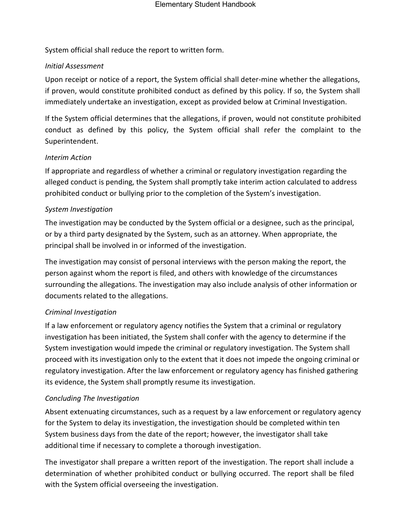System official shall reduce the report to written form.

### *Initial Assessment*

Upon receipt or notice of a report, the System official shall deter-mine whether the allegations, if proven, would constitute prohibited conduct as defined by this policy. If so, the System shall immediately undertake an investigation, except as provided below at Criminal Investigation.

If the System official determines that the allegations, if proven, would not constitute prohibited conduct as defined by this policy, the System official shall refer the complaint to the Superintendent.

### *Interim Action*

If appropriate and regardless of whether a criminal or regulatory investigation regarding the alleged conduct is pending, the System shall promptly take interim action calculated to address prohibited conduct or bullying prior to the completion of the System's investigation.

### *System Investigation*

The investigation may be conducted by the System official or a designee, such as the principal, or by a third party designated by the System, such as an attorney. When appropriate, the principal shall be involved in or informed of the investigation.

The investigation may consist of personal interviews with the person making the report, the person against whom the report is filed, and others with knowledge of the circumstances surrounding the allegations. The investigation may also include analysis of other information or documents related to the allegations.

## *Criminal Investigation*

If a law enforcement or regulatory agency notifies the System that a criminal or regulatory investigation has been initiated, the System shall confer with the agency to determine if the System investigation would impede the criminal or regulatory investigation. The System shall proceed with its investigation only to the extent that it does not impede the ongoing criminal or regulatory investigation. After the law enforcement or regulatory agency has finished gathering its evidence, the System shall promptly resume its investigation.

## *Concluding The Investigation*

Absent extenuating circumstances, such as a request by a law enforcement or regulatory agency for the System to delay its investigation, the investigation should be completed within ten System business days from the date of the report; however, the investigator shall take additional time if necessary to complete a thorough investigation.

The investigator shall prepare a written report of the investigation. The report shall include a determination of whether prohibited conduct or bullying occurred. The report shall be filed with the System official overseeing the investigation.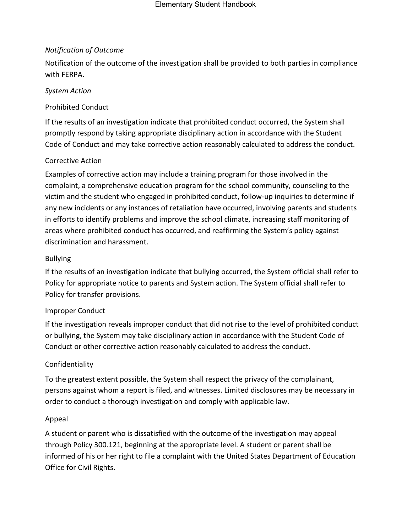## *Notification of Outcome*

Notification of the outcome of the investigation shall be provided to both parties in compliance with FERPA.

## *System Action*

## Prohibited Conduct

If the results of an investigation indicate that prohibited conduct occurred, the System shall promptly respond by taking appropriate disciplinary action in accordance with the Student Code of Conduct and may take corrective action reasonably calculated to address the conduct.

## Corrective Action

Examples of corrective action may include a training program for those involved in the complaint, a comprehensive education program for the school community, counseling to the victim and the student who engaged in prohibited conduct, follow-up inquiries to determine if any new incidents or any instances of retaliation have occurred, involving parents and students in efforts to identify problems and improve the school climate, increasing staff monitoring of areas where prohibited conduct has occurred, and reaffirming the System's policy against discrimination and harassment.

## Bullying

If the results of an investigation indicate that bullying occurred, the System official shall refer to Policy for appropriate notice to parents and System action. The System official shall refer to Policy for transfer provisions.

## Improper Conduct

If the investigation reveals improper conduct that did not rise to the level of prohibited conduct or bullying, the System may take disciplinary action in accordance with the Student Code of Conduct or other corrective action reasonably calculated to address the conduct.

## Confidentiality

To the greatest extent possible, the System shall respect the privacy of the complainant, persons against whom a report is filed, and witnesses. Limited disclosures may be necessary in order to conduct a thorough investigation and comply with applicable law.

## Appeal

A student or parent who is dissatisfied with the outcome of the investigation may appeal through Policy 300.121, beginning at the appropriate level. A student or parent shall be informed of his or her right to file a complaint with the United States Department of Education Office for Civil Rights.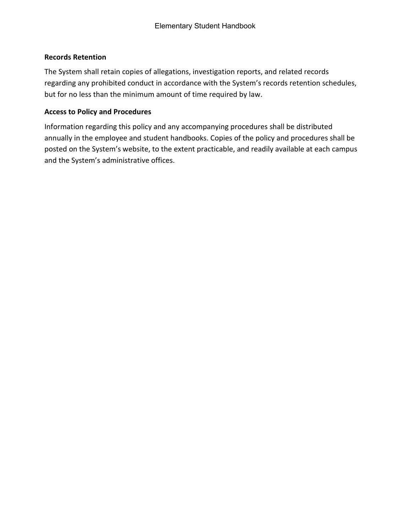## **Records Retention**

The System shall retain copies of allegations, investigation reports, and related records regarding any prohibited conduct in accordance with the System's records retention schedules, but for no less than the minimum amount of time required by law.

### **Access to Policy and Procedures**

Information regarding this policy and any accompanying procedures shall be distributed annually in the employee and student handbooks. Copies of the policy and procedures shall be posted on the System's website, to the extent practicable, and readily available at each campus and the System's administrative offices.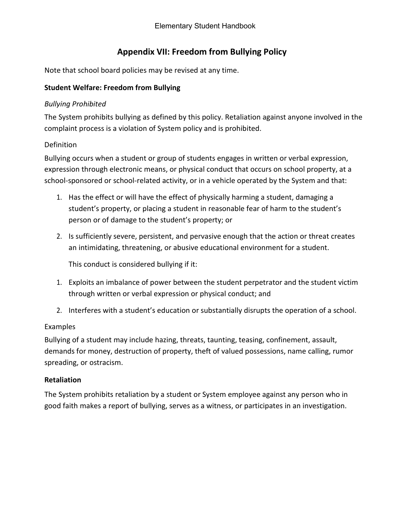# **Appendix VII: Freedom from Bullying Policy**

Note that school board policies may be revised at any time.

## **Student Welfare: Freedom from Bullying**

## *Bullying Prohibited*

The System prohibits bullying as defined by this policy. Retaliation against anyone involved in the complaint process is a violation of System policy and is prohibited.

## Definition

Bullying occurs when a student or group of students engages in written or verbal expression, expression through electronic means, or physical conduct that occurs on school property, at a school-sponsored or school-related activity, or in a vehicle operated by the System and that:

- 1. Has the effect or will have the effect of physically harming a student, damaging a student's property, or placing a student in reasonable fear of harm to the student's person or of damage to the student's property; or
- 2. Is sufficiently severe, persistent, and pervasive enough that the action or threat creates an intimidating, threatening, or abusive educational environment for a student.

This conduct is considered bullying if it:

- 1. Exploits an imbalance of power between the student perpetrator and the student victim through written or verbal expression or physical conduct; and
- 2. Interferes with a student's education or substantially disrupts the operation of a school.

## Examples

Bullying of a student may include hazing, threats, taunting, teasing, confinement, assault, demands for money, destruction of property, theft of valued possessions, name calling, rumor spreading, or ostracism.

## **Retaliation**

The System prohibits retaliation by a student or System employee against any person who in good faith makes a report of bullying, serves as a witness, or participates in an investigation.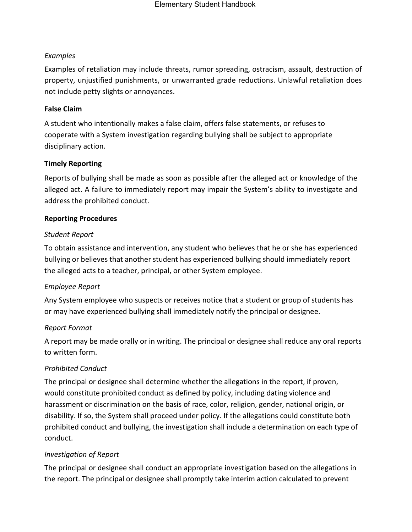### *Examples*

Examples of retaliation may include threats, rumor spreading, ostracism, assault, destruction of property, unjustified punishments, or unwarranted grade reductions. Unlawful retaliation does not include petty slights or annoyances.

### **False Claim**

A student who intentionally makes a false claim, offers false statements, or refuses to cooperate with a System investigation regarding bullying shall be subject to appropriate disciplinary action.

### **Timely Reporting**

Reports of bullying shall be made as soon as possible after the alleged act or knowledge of the alleged act. A failure to immediately report may impair the System's ability to investigate and address the prohibited conduct.

### **Reporting Procedures**

### *Student Report*

To obtain assistance and intervention, any student who believes that he or she has experienced bullying or believes that another student has experienced bullying should immediately report the alleged acts to a teacher, principal, or other System employee.

## *Employee Report*

Any System employee who suspects or receives notice that a student or group of students has or may have experienced bullying shall immediately notify the principal or designee.

#### *Report Format*

A report may be made orally or in writing. The principal or designee shall reduce any oral reports to written form.

## *Prohibited Conduct*

The principal or designee shall determine whether the allegations in the report, if proven, would constitute prohibited conduct as defined by policy, including dating violence and harassment or discrimination on the basis of race, color, religion, gender, national origin, or disability. If so, the System shall proceed under policy. If the allegations could constitute both prohibited conduct and bullying, the investigation shall include a determination on each type of conduct.

## *Investigation of Report*

The principal or designee shall conduct an appropriate investigation based on the allegations in the report. The principal or designee shall promptly take interim action calculated to prevent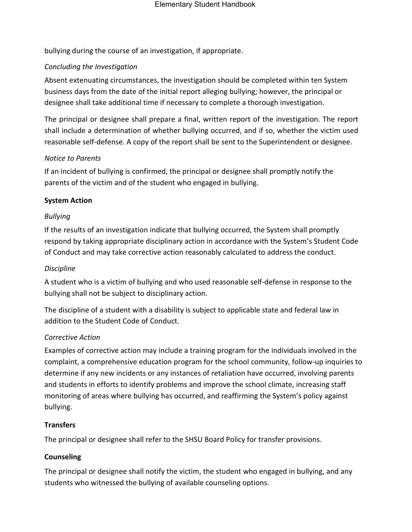bullying during the course of an investigation, if appropriate.

### *Concluding the Investigation*

Absent extenuating circumstances, the investigation should be completed within ten System business days from the date of the initial report alleging bullying; however, the principal or designee shall take additional time if necessary to complete a thorough investigation.

The principal or designee shall prepare a final, written report of the investigation. The report shall include a determination of whether bullying occurred, and if so, whether the victim used reasonable self-defense. A copy of the report shall be sent to the Superintendent or designee.

#### *Notice to Parents*

If an incident of bullying is confirmed, the principal or designee shall promptly notify the parents of the victim and of the student who engaged in bullying.

### **System Action**

### *Bullying*

If the results of an investigation indicate that bullying occurred, the System shall promptly respond by taking appropriate disciplinary action in accordance with the System's Student Code of Conduct and may take corrective action reasonably calculated to address the conduct.

#### *Discipline*

A student who is a victim of bullying and who used reasonable self-defense in response to the bullying shall not be subject to disciplinary action.

The discipline of a student with a disability is subject to applicable state and federal law in addition to the Student Code of Conduct.

#### *Corrective Action*

Examples of corrective action may include a training program for the individuals involved in the complaint, a comprehensive education program for the school community, follow-up inquiries to determine if any new incidents or any instances of retaliation have occurred, involving parents and students in efforts to identify problems and improve the school climate, increasing staff monitoring of areas where bullying has occurred, and reaffirming the System's policy against bullying.

#### **Transfers**

The principal or designee shall refer to the SHSU Board Policy for transfer provisions.

#### **Counseling**

The principal or designee shall notify the victim, the student who engaged in bullying, and any students who witnessed the bullying of available counseling options.